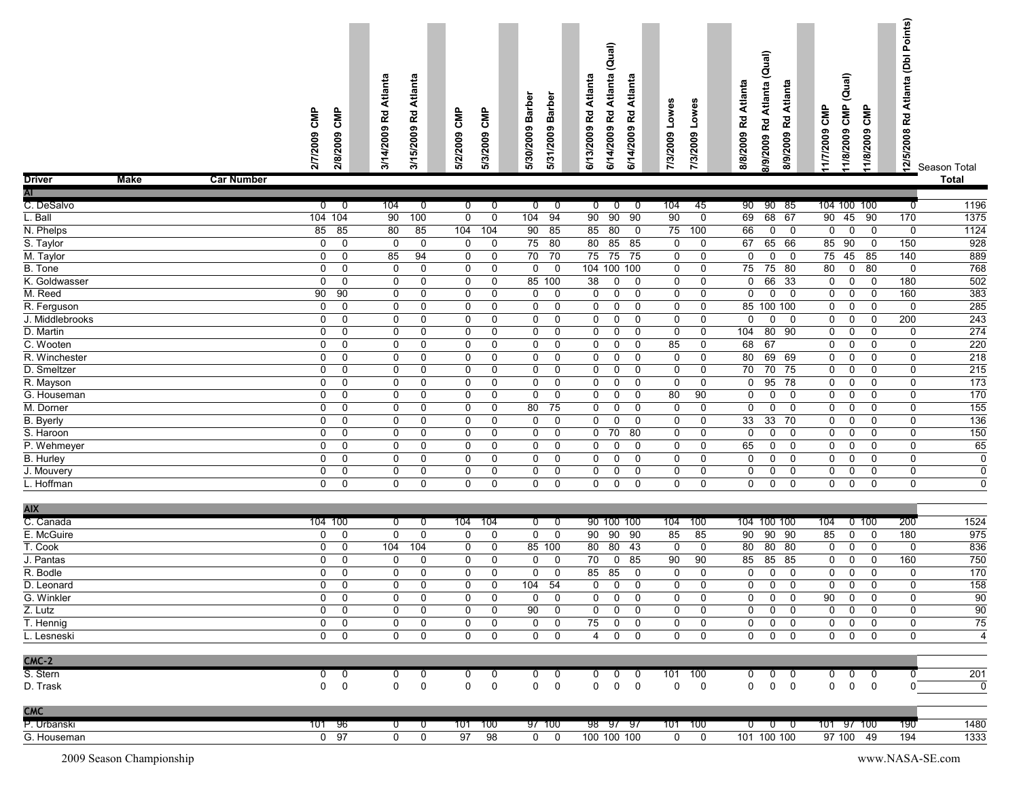|               |             |                   | ௨<br>ᅙ<br>o<br>0<br>ন | CMP<br>2009<br>2/8 | ൹<br>ਛ<br>ಕ<br>◀<br><b>R</b> d<br>ၜ<br>$\bullet$<br>ຊ<br>∽<br>₹<br>$\overline{\phantom{0}}$<br>స | Atlanta<br>얺<br>თ<br>۰<br>ຊິ<br>~<br>ம<br>↽<br>స్ | <b>SMP</b><br>ຶ<br>Ŝ<br>$\mathbf{\bar{N}}$<br>ন<br><b>io</b> | СMP<br>ຶ<br>Š<br>$\mathbf{N}$<br>~<br>ຕ<br>LÕ. | Φ<br>ᅀ<br>Barl<br>თ<br>200<br>$\overline{\phantom{0}}$<br>న్లే<br><u>ត</u> | ৯<br>ᅀ<br>8ā<br>თ<br>$\ddot{\phantom{1}}$<br>ຸລິ<br>∾<br>ιõ, | ᠊ᢆ<br>ಕ<br>G<br>ᄰ<br>ຶ<br>200<br>$\overline{\phantom{0}}$<br>ო<br>$\overline{\phantom{0}}$<br>ত্ৰ | ∽<br>_<br>ℒ<br>ø<br>÷<br>ᄰ<br>ຶ<br>0<br>0<br>ิ<br>ൟ | Atlanta<br>Rd<br>თ<br>4/200<br>↽<br>ত | w<br>ω<br>$\circ$<br>-<br>eoo<br>$\sim$<br>ল<br>Ħ. | 3<br>ၜ<br>۰<br>$\mathbf{\tilde{N}}$<br>ო<br>~ | nta<br>Atla<br><b>R</b><br>8/8/2009 | ≏<br>-<br>æ<br>Ξ.<br>읖<br>ᄰ<br>თ<br>ä<br>$\overline{\mathbf{N}}$<br>-<br>တ | Atlanta<br>5<br>/9/2009<br>œ | CMP<br>7/2009<br>≑ | $\widehat{\mathbf{a}}$<br>ٮ<br>₿<br>ပ<br>σ<br>0<br>0<br>$\bar{\mathbf{v}}$<br>ထ | ௨<br>Σ<br>ပ<br>ၜ<br>$\bullet$<br>$\bar{N}$<br>ಹ | Ω<br>් වි<br>$\mathbf{\tau}$<br>₹<br><b>Rd</b><br>2008<br><b>io</b><br>으 | Season Total |  |
|---------------|-------------|-------------------|-----------------------|--------------------|--------------------------------------------------------------------------------------------------|---------------------------------------------------|--------------------------------------------------------------|------------------------------------------------|----------------------------------------------------------------------------|--------------------------------------------------------------|---------------------------------------------------------------------------------------------------|-----------------------------------------------------|---------------------------------------|----------------------------------------------------|-----------------------------------------------|-------------------------------------|----------------------------------------------------------------------------|------------------------------|--------------------|---------------------------------------------------------------------------------|-------------------------------------------------|--------------------------------------------------------------------------|--------------|--|
| <b>Driver</b> | <b>Make</b> | <b>Car Number</b> |                       |                    |                                                                                                  |                                                   |                                                              |                                                |                                                                            |                                                              |                                                                                                   |                                                     |                                       |                                                    |                                               |                                     |                                                                            |                              |                    |                                                                                 |                                                 |                                                                          | <b>Total</b> |  |

| -                | <br>vui numbol |                 |             |                |                |                |                                            |                                                  |                             |                                              |                                                 |              | .                         |
|------------------|----------------|-----------------|-------------|----------------|----------------|----------------|--------------------------------------------|--------------------------------------------------|-----------------------------|----------------------------------------------|-------------------------------------------------|--------------|---------------------------|
| AΓ               |                |                 |             |                |                |                |                                            |                                                  |                             |                                              |                                                 |              |                           |
| C. DeSalvo       | $\overline{0}$ | $\overline{0}$  | 104         | $\overline{0}$ | $\overline{0}$ | $\overline{0}$ | $\overline{0}$<br>$\overline{\phantom{0}}$ | $\overline{\mathfrak{o}}$<br>$\overline{0}$<br>ം | 45<br>104                   | 90<br>90 85                                  | 104 100 100                                     | 0            | 1196                      |
| L. Ball          |                | 104 104         | 90          | 100            | $\Omega$       | $\mathbf 0$    | 104<br>94                                  | 90<br>90<br>90                                   | 90<br>$\mathbf 0$           | 69<br>68 67                                  | 45<br>90<br>90                                  | 170          | 1375                      |
| N. Phelps        | 85             | 85              | 80          | 85             | 104            | 104            | 90<br>85                                   | 85<br>80<br>$\overline{\mathbf{0}}$              | 75<br>100                   | 66<br>$\mathbf 0$<br>$\overline{\mathbf{0}}$ | $\overline{0}$<br>$\mathbf 0$<br>$\overline{0}$ | $\mathbf 0$  | 1124                      |
| S. Taylor        | $\mathbf 0$    | $\mathbf 0$     | $\mathbf 0$ | 0              | 0              | $\mathbf 0$    | 75<br>80                                   | 85 85<br>80                                      | $\mathbf 0$<br>$\mathbf 0$  | 65 66<br>67                                  | 90<br>85<br>$\overline{0}$                      | 150          | 928                       |
| M. Taylor        | $\mathbf{0}$   | $\Omega$        | 85          | 94             | $\mathbf 0$    | 0              | 70<br>70                                   | 75<br>75<br>75                                   | $\mathbf 0$<br>0            | $\mathbf 0$<br>$\mathbf{0}$<br>$\Omega$      | 75<br>45<br>85                                  | 140          | 889                       |
| B. Tone          | $\Omega$       | 0               | 0           | 0              | 0              | 0              | $\Omega$<br>$\Omega$                       | 104 100 100                                      | $\mathbf 0$<br>$\mathbf 0$  | 75<br>75<br>- 80                             | 80<br>$\mathbf 0$<br>80                         | $\mathbf{0}$ | 768                       |
| K. Goldwasser    | $\mathbf 0$    | 0               | 0           | $\mathbf 0$    | 0              | $\mathbf 0$    | 85<br>100                                  | 38<br>0<br>$\mathbf 0$                           | $\mathbf 0$<br>$\mathbf 0$  | 0<br>66<br>33                                | $\mathsf 0$<br>$\mathbf 0$<br>$\mathbf 0$       | 180          | 502                       |
| M. Reed          | 90             | 90              | 0           | $\mathbf 0$    | $\mathbf 0$    | $\mathbf 0$    | $\mathbf 0$<br>$\mathbf 0$                 | $\overline{0}$<br>$\mathbf 0$<br>$\mathbf 0$     | $\mathbf 0$<br>$\mathbf 0$  | $\mathbf 0$<br>$\Omega$<br>$\Omega$          | $\mathbf 0$<br>0<br>$\mathbf 0$                 | 160          | 383                       |
| R. Ferguson      | $\Omega$       | 0               | 0           | $\mathbf{0}$   | $\mathbf{0}$   | $\Omega$       | $\Omega$<br>0                              | $\Omega$<br>$\Omega$<br>$\mathbf 0$              | $\mathbf 0$<br>0            | 85 100 100                                   | $\mathbf 0$<br>0<br>$\Omega$                    | $\mathbf{0}$ | 285                       |
| J. Middlebrooks  | $\mathbf 0$    | $\Omega$        | 0           | 0              | 0              | $\Omega$       | $\Omega$<br>$\Omega$                       | $\mathbf 0$<br>$\Omega$<br>$\Omega$              | $\mathbf 0$<br>$\Omega$     | $\Omega$<br>$\mathbf{0}$<br>$\Omega$         | $\mathbf 0$<br>$\mathbf 0$<br>$\mathbf{0}$      | 200          | 243                       |
| D. Martin        | $\mathbf 0$    | $\Omega$        | 0           | $\mathbf 0$    | $\mathbf 0$    | $\mathbf 0$    | $\mathbf 0$<br>$\mathbf 0$                 | $\mathbf 0$<br>$\mathbf 0$<br>$\mathbf 0$        | $\mathbf 0$<br>$\mathbf 0$  | 80<br>104<br>90                              | 0<br>$\mathbf 0$<br>$\mathbf 0$                 | $\mathbf 0$  | 274                       |
| C. Wooten        | $\mathbf 0$    | $\Omega$        | 0           | $\mathbf 0$    | $\mathbf 0$    | $\mathbf 0$    | $\Omega$<br>$\mathbf 0$                    | $\mathbf 0$<br>$\mathbf 0$<br>$\mathbf 0$        | 85<br>$\mathbf 0$           | 68<br>67                                     | $\mathbf 0$<br>$\mathbf 0$<br>$\Omega$          | $\mathbf{0}$ | 220                       |
| R. Winchester    | $\mathbf{0}$   | $\Omega$        | $\Omega$    | $\Omega$       | 0              | $\Omega$       | $\Omega$<br>$\Omega$                       | $\mathbf 0$<br>$\Omega$<br>$\Omega$              | $\mathbf 0$<br>$\mathbf 0$  | 80<br>69 69                                  | 0<br>$\Omega$<br>$\Omega$                       | $\mathbf{0}$ | 218                       |
| D. Smeltzer      | 0              | 0               | 0           | 0              | 0              | 0              | 0<br>0                                     | $\mathbf 0$<br>0<br>0                            | $\mathbf 0$<br>0            | 70<br>70<br>75                               | 0<br>0<br>$\mathbf 0$                           | $\mathbf 0$  | 215                       |
| R. Mayson        | $\Omega$       | $\Omega$        | 0           | $\Omega$       | $\mathbf 0$    | $\mathbf 0$    | $\Omega$<br>$\mathbf 0$                    | $\mathbf 0$<br>$\mathbf 0$<br>$\mathbf 0$        | $\mathbf 0$<br>$\mathbf 0$  | 95<br>$\overline{78}$<br>$\Omega$            | $\mathbf 0$<br>$\mathbf 0$<br>$\Omega$          | $\mathbf{0}$ | 173                       |
| G. Houseman      | $\mathbf 0$    | $\mathbf 0$     | 0           | 0              | 0              | $\Omega$       | $\Omega$<br>$\mathbf 0$                    | $\Omega$<br>0<br>$\Omega$                        | 80<br>90                    | 0<br>$\mathbf{0}$<br>$\Omega$                | 0<br>0<br>$\mathbf{0}$                          | $\Omega$     | 170                       |
| M. Dorner        | $\Omega$       | $\Omega$        | 0           | $\Omega$       | 0              | $\Omega$       | 80<br>75                                   | $\mathbf 0$<br>$\Omega$<br>$\mathbf 0$           | $\mathbf 0$<br>$\mathbf 0$  | $\Omega$<br>$\Omega$<br>$\Omega$             | $\mathbf 0$<br>0<br>$\Omega$                    | $\Omega$     | $\overline{155}$          |
| <b>B.</b> Byerly | $\mathbf 0$    | $\Omega$        | 0           | $\Omega$       | $\mathbf 0$    | $\mathbf 0$    | $\mathbf 0$<br>$\mathbf 0$                 | $\mathbf 0$<br>$\mathbf 0$<br>$\mathbf 0$        | $\mathbf 0$<br>$\mathbf 0$  | 33<br>$\overline{33}$<br>70                  | $\mathbf 0$<br>$\Omega$<br>$\Omega$             | $\mathbf 0$  | 136                       |
| S. Haroon        | $\mathbf 0$    | $\Omega$        | 0           | $\mathbf 0$    | $\mathbf 0$    | $\mathbf 0$    | $\mathbf 0$<br>$\mathbf 0$                 | 70<br>$\mathbf 0$<br>80                          | $\mathbf 0$<br>$\mathbf{0}$ | $\mathbf 0$<br>$\Omega$<br>$\Omega$          | $\mathbf 0$<br>$\mathbf 0$<br>$\Omega$          | $\Omega$     | 150                       |
| P. Wehmeyer      | $\Omega$       | $\Omega$        | 0           | $\Omega$       | 0              | $\Omega$       | $\Omega$<br>0                              | $\mathbf 0$<br>$\mathbf 0$<br>$\mathbf 0$        | 0<br>0                      | 65<br>$\Omega$<br>0                          | $\mathbf 0$<br>0<br>$\mathbf 0$                 | $\Omega$     | 65                        |
| <b>B.</b> Hurley | $\Omega$       | $\Omega$        | 0           | $\Omega$       | $\mathbf 0$    | $\mathbf 0$    | 0<br>$\mathbf 0$                           | $\mathbf 0$<br>$\Omega$<br>$\mathbf 0$           | $\mathbf 0$<br>$\mathbf 0$  | $\mathbf 0$<br>$\Omega$<br>$\Omega$          | $\mathbf 0$<br>$\mathbf 0$<br>$\Omega$          | $\mathbf 0$  | $\overline{\mathfrak{o}}$ |
| J. Mouvery       | $\mathbf 0$    | $\mathbf{0}$    | 0           | 0              | 0              | 0              | 0<br>0                                     | $\mathbf 0$<br>$\mathbf 0$<br>$\mathbf 0$        | 0<br>0                      | 0<br>0<br>0                                  | 0<br>0<br>0                                     | 0            | $\mathbf 0$               |
| L. Hoffman       | $\mathbf{0}$   | $\Omega$        | 0           | $\Omega$       | $\Omega$       | $\Omega$       | $\Omega$<br>$\Omega$                       | $\mathbf 0$<br>$\Omega$<br>$\mathbf 0$           | $\mathbf 0$<br>0            | $\mathbf 0$<br>$\mathbf 0$<br>0              | $\mathbf 0$<br>$\mathbf 0$<br>$\Omega$          | $\mathbf{0}$ | $\mathbf 0$               |
|                  |                |                 |             |                |                |                |                                            |                                                  |                             |                                              |                                                 |              |                           |
| <b>AIX</b>       |                |                 |             |                |                |                |                                            |                                                  |                             |                                              |                                                 |              |                           |
| C. Canada        |                | 104 100         | 0           | $\overline{0}$ | 104            | 104            | $\overline{0}$<br>$\overline{\phantom{0}}$ | 90 100 100                                       | 100<br>104                  | 104 100 100                                  | 104<br>$0$ 100                                  | 200          | 1524                      |
| E. McGuire       | $\mathbf{0}$   | $\Omega$        | $\Omega$    | $\Omega$       | 0              | $\mathbf 0$    | $\Omega$<br>$\mathbf 0$                    | 90<br>90<br>90                                   | 85<br>85                    | 90<br>90 90                                  | 85<br>$\mathbf 0$<br>$\Omega$                   | 180          | 975                       |
| T. Cook          | $\mathbf 0$    | $\mathbf 0$     | 104         | 104            | 0              | 0              | 85 100                                     | 80 43<br>80                                      | $\mathbf 0$<br>$\mathbf 0$  | 80 80<br>80                                  | $\mathbf 0$<br>0<br>$\overline{0}$              | 0            | 836                       |
| J. Pantas        | $\mathbf 0$    | 0               | 0           | 0              | $\mathbf 0$    | $\mathbf 0$    | $\mathbf 0$<br>$\mathbf 0$                 | $\overline{70}$<br>$\mathbf 0$<br>85             | 90<br>90                    | 85<br>85 85                                  | $\mathbf 0$<br>$\mathbf 0$<br>$\Omega$          | 160          | 750                       |
| R. Bodle         | 0              | 0               | 0           | 0              | 0              | 0              | 0<br>$\mathbf 0$                           | 85<br>85<br>0                                    | $\mathbf 0$<br>0            | 0<br>0<br>0                                  | 0<br>0<br>$\mathbf 0$                           | $\mathbf 0$  | 170                       |
| D. Leonard       | $\Omega$       | $\Omega$        | $\Omega$    | $\Omega$       | $\mathbf 0$    | $\Omega$       | 104<br>54                                  | $\mathbf 0$<br>$\Omega$<br>$\mathbf 0$           | $\mathbf 0$<br>0            | $\Omega$<br>$\Omega$<br>$\mathbf{0}$         | $\mathbf 0$<br>$\mathbf 0$<br>$\Omega$          | $\mathbf{0}$ | 158                       |
| G. Winkler       | $\mathbf 0$    | $\mathbf 0$     | 0           | 0              | 0              | 0              | $\mathbf 0$<br>$\mathbf 0$                 | $\mathbf 0$<br>$\mathbf 0$<br>$\mathbf 0$        | $\mathbf 0$<br>0            | 0<br>0<br>$\mathbf 0$                        | 90<br>$\mathbf 0$<br>$\mathbf 0$                | 0            | 90                        |
| Z. Lutz          | $\mathbf 0$    | 0               | 0           | 0              | 0              | $\mathbf 0$    | 90<br>$\mathbf 0$                          | $\mathbf 0$<br>$\mathbf 0$<br>$\mathbf 0$        | $\mathbf 0$<br>0            | $\mathbf 0$<br>$\mathbf 0$<br>$\mathbf 0$    | 0<br>$\mathbf 0$<br>$\mathbf 0$                 | $\mathbf 0$  | $\overline{90}$           |
| T. Hennig        | $\Omega$       | $\Omega$        | 0           | $\Omega$       | $\mathbf 0$    | $\mathbf 0$    | $\mathbf 0$<br>$\mathbf 0$                 | 75<br>$\mathbf 0$<br>$\mathbf 0$                 | $\mathbf 0$<br>$\mathbf 0$  | $\Omega$<br>0<br>$\Omega$                    | $\mathbf 0$<br>$\mathbf 0$<br>$\mathbf 0$       | $\Omega$     | $\overline{75}$           |
| L. Lesneski      | $\mathbf 0$    | $\mathbf 0$     | 0           | 0              | $\mathbf 0$    | $\mathbf 0$    | $\Omega$<br>$\mathbf 0$                    | $\mathbf 0$<br>$\overline{4}$<br>$\mathbf 0$     | $\mathbf 0$<br>0            | $\mathbf 0$<br>0<br>$\mathbf 0$              | $\mathbf 0$<br>0<br>$\mathbf 0$                 | $\Omega$     | $\overline{4}$            |
|                  |                |                 |             |                |                |                |                                            |                                                  |                             |                                              |                                                 |              |                           |
| $CMC-2$          |                |                 |             |                |                |                |                                            |                                                  |                             |                                              |                                                 |              |                           |
| S. Stern         | $\overline{0}$ | 0               | 0           | 0              | 0              | 0              | 0<br>0                                     | $\overline{0}$<br>0<br>0                         | 100<br>101                  | 0<br>0<br>0                                  | $\overline{0}$<br>0<br>0                        | 0            | 201                       |
| D. Trask         | $\mathbf 0$    | $\mathbf 0$     | 0           | $\Omega$       | $\mathbf 0$    | $\mathbf 0$    | 0<br>$\mathbf 0$                           | $\mathbf 0$<br>0<br>$\mathbf 0$                  | $\mathbf 0$<br>$\mathbf 0$  | $\mathbf 0$<br>$\mathbf 0$<br>0              | $\mathsf 0$<br>$\mathbf 0$<br>$\mathbf 0$       | $\Omega$     | $\mathbf 0$               |
| <b>CMC</b>       |                |                 |             |                |                |                |                                            |                                                  |                             |                                              |                                                 |              |                           |
| P. Urbanski      | 101            | -96             | 0           | 0              | 101            | 100            | 97 100                                     | 98<br>- 97<br>-97                                | 100<br>101                  | 0<br>$\Omega$<br>- 0                         | 101<br>97 100                                   | 190          | 1480                      |
| G. Houseman      | $\mathbf{0}$   | $\overline{97}$ | 0           | $\Omega$       | 97             | 98             | $\Omega$<br>$\mathbf 0$                    | 100 100 100                                      | $\mathbf 0$<br>$\mathbf 0$  | 101 100 100                                  | 97 100<br>-49                                   | 194          | 1333                      |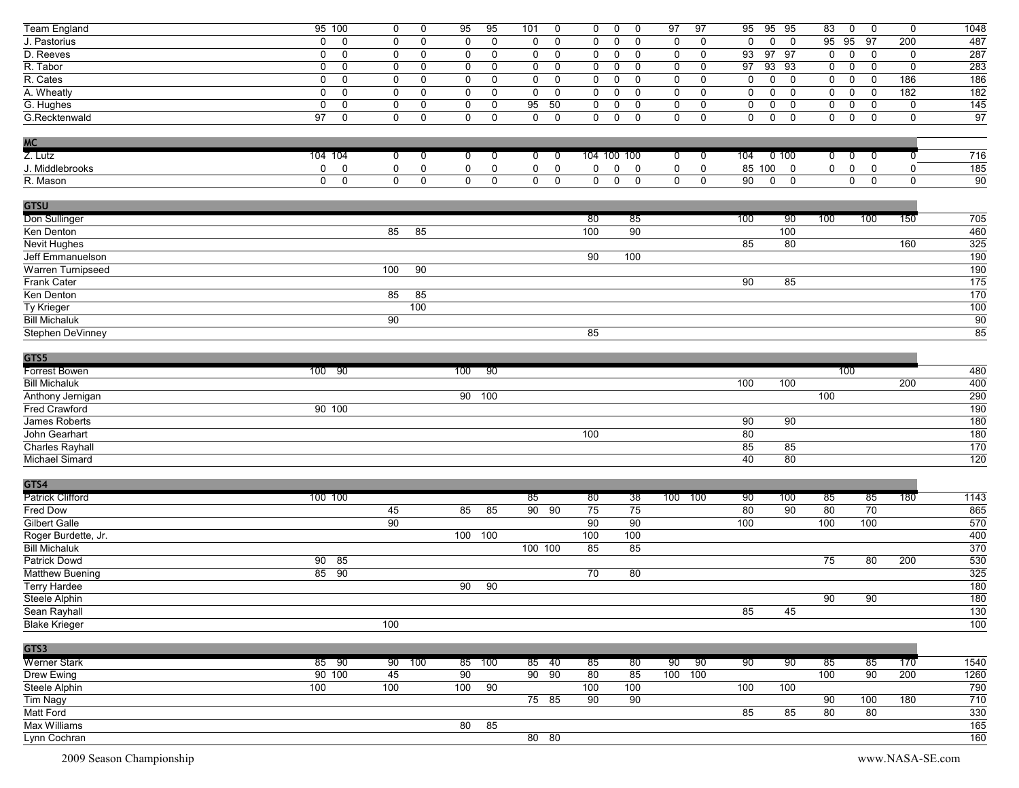| <b>Team England</b>     | 95 100                         | 0<br>0                           | 95<br>95                   | 101<br>0                   | $\mathbf 0$ | 0<br>$\mathbf 0$                 | 97<br>97                   | 95              | 95 95                                     | 83             | $\mathbf 0$<br>$\mathbf 0$       | 0           | 1048             |
|-------------------------|--------------------------------|----------------------------------|----------------------------|----------------------------|-------------|----------------------------------|----------------------------|-----------------|-------------------------------------------|----------------|----------------------------------|-------------|------------------|
| J. Pastorius            | $\mathbf 0$<br>0               | 0<br>$\mathbf 0$                 | $\mathbf 0$<br>$\mathbf 0$ | 0<br>0                     | 0           | $\mathbf 0$<br>$\mathbf 0$       | 0<br>0                     | $\mathbf 0$     | $\mathbf 0$<br>$\overline{0}$             | 95             | 95<br>97                         | 200         | 487              |
| D. Reeves               | 0<br>0                         | 0<br>0                           | 0<br>$\mathbf 0$           | 0<br>0                     | 0           | 0<br>0                           | 0<br>0                     | 93              | 97<br>97                                  | 0              | 0<br>0                           | $\mathbf 0$ | 287              |
| R. Tabor                | $\mathbf 0$<br>0               | $\mathbf 0$<br>0                 | $\mathbf 0$<br>0           | 0<br>0                     | $\mathbf 0$ | $\mathbf 0$<br>0                 | $\mathbf 0$<br>$\mathbf 0$ | 97              | 93 93                                     | 0              | $\mathsf{O}$<br>$\mathbf 0$      | $\mathbf 0$ | 283              |
| R. Cates                | 0<br>0                         | 0<br>$\mathbf 0$                 | $\mathbf 0$<br>$\mathbf 0$ | $\mathbf 0$<br>$\mathbf 0$ | $\mathbf 0$ | $\mathbf 0$<br>$\mathbf 0$       | $\mathbf 0$<br>$\mathbf 0$ | 0               | $\mathbf 0$<br>$\mathbf 0$                | 0              | $\mathbf 0$<br>$\mathbf 0$       | 186         | 186              |
| A. Wheatly              | 0<br>0                         | 0<br>0                           | 0<br>$\mathbf 0$           | $\mathbf 0$<br>0           | 0           | $\mathbf 0$<br>$\mathbf 0$       | 0<br>0                     | 0               | $\mathsf{O}$<br>$\mathbf 0$               | 0              | $\mathbf 0$<br>0                 | 182         | 182              |
| G. Hughes               | 0<br>0                         | 0<br>0                           | $\mathbf 0$<br>$\pmb{0}$   | 95<br>50                   | $\mathbf 0$ | 0<br>$\mathbf 0$                 | $\mathbf 0$<br>$\mathbf 0$ | 0               | $\mathbf 0$<br>$\mathbf 0$                | 0              | $\mathbf 0$<br>$\mathbf 0$       | $\pmb{0}$   | 145              |
| G.Recktenwald           | $\overline{97}$<br>$\mathbf 0$ | $\mathbf 0$<br>0                 | $\mathbf 0$<br>$\mathbf 0$ | $\mathbf 0$<br>$\mathbf 0$ | $\mathbf 0$ | $\mathsf{O}$<br>$\mathbf 0$      | $\mathbf 0$<br>$\mathbf 0$ | $\mathbf 0$     | $\mathbf 0$<br>$\overline{0}$             | $\mathbf{0}$   | $\mathbf 0$<br>$\mathbf 0$       | $\mathbf 0$ | 97               |
|                         |                                |                                  |                            |                            |             |                                  |                            |                 |                                           |                |                                  |             |                  |
| <b>MC</b>               |                                |                                  |                            |                            |             |                                  |                            |                 |                                           |                |                                  |             |                  |
| Z. Lutz                 | 104 104                        |                                  |                            |                            | 104 100 100 |                                  |                            | 104             | 0100                                      | $\overline{0}$ |                                  | 0           | 716              |
|                         |                                | $\overline{0}$<br>$\overline{0}$ | $\overline{0}$<br>0        | $\overline{0}$<br>0        |             |                                  | $\overline{0}$<br>0        |                 |                                           |                | $\overline{0}$<br>0              |             |                  |
| J. Middlebrooks         | $\mathsf{O}$<br>$\mathbf 0$    | 0<br>0                           | $\pmb{0}$<br>0             | $\mathbf 0$<br>0           | 0           | 0<br>$\overline{0}$              | 0<br>0                     |                 | 85 100 0                                  | 0              | $\pmb{0}$<br>0                   | $\mathbf 0$ | 185              |
| R. Mason                | $\mathbf{0}$<br>$\mathbf 0$    | $\mathbf 0$<br>$\mathbf 0$       | $\overline{0}$<br>0        | 0<br>0                     | $\mathbf 0$ | $\overline{0}$<br>$\overline{0}$ | $\mathbf 0$<br>$\mathbf 0$ | $\overline{90}$ | $\overline{0}$<br>$\overline{\mathbf{0}}$ |                | $\overline{0}$<br>$\overline{0}$ | $\mathbf 0$ | 90               |
|                         |                                |                                  |                            |                            |             |                                  |                            |                 |                                           |                |                                  |             |                  |
| <b>GTSU</b>             |                                |                                  |                            |                            |             |                                  |                            |                 |                                           |                |                                  |             |                  |
| Don Sullinger           |                                |                                  |                            |                            | 80          | 85                               |                            | 100             | -90                                       | 100            | 100                              | 150         | 705              |
| Ken Denton              |                                | 85<br>85                         |                            |                            | 100         | 90                               |                            |                 | 100                                       |                |                                  |             | 460              |
| <b>Nevit Hughes</b>     |                                |                                  |                            |                            |             |                                  |                            | 85              | 80                                        |                |                                  | 160         | 325              |
| Jeff Emmanuelson        |                                |                                  |                            |                            | 90          | 100                              |                            |                 |                                           |                |                                  |             | 190              |
| Warren Turnipseed       |                                | 100<br>90                        |                            |                            |             |                                  |                            |                 |                                           |                |                                  |             | 190              |
| Frank Cater             |                                |                                  |                            |                            |             |                                  |                            | 90              | 85                                        |                |                                  |             | $\overline{175}$ |
| Ken Denton              |                                | 85<br>85                         |                            |                            |             |                                  |                            |                 |                                           |                |                                  |             | 170              |
| Ty Krieger              |                                | 100                              |                            |                            |             |                                  |                            |                 |                                           |                |                                  |             | 100              |
| <b>Bill Michaluk</b>    |                                | $\overline{90}$                  |                            |                            |             |                                  |                            |                 |                                           |                |                                  |             | 90               |
| Stephen DeVinney        |                                |                                  |                            |                            | 85          |                                  |                            |                 |                                           |                |                                  |             | 85               |
|                         |                                |                                  |                            |                            |             |                                  |                            |                 |                                           |                |                                  |             |                  |
| GTS5                    |                                |                                  |                            |                            |             |                                  |                            |                 |                                           |                |                                  |             |                  |
| <b>Forrest Bowen</b>    | 100 90                         |                                  | -90<br>100                 |                            |             |                                  |                            |                 |                                           | 100            |                                  |             | 480              |
| <b>Bill Michaluk</b>    |                                |                                  |                            |                            |             |                                  |                            | 100             | 100                                       |                |                                  | 200         | 400              |
| Anthony Jernigan        |                                |                                  | 90 100                     |                            |             |                                  |                            |                 |                                           | 100            |                                  |             | 290              |
| Fred Crawford           | 90 100                         |                                  |                            |                            |             |                                  |                            |                 |                                           |                |                                  |             | 190              |
| James Roberts           |                                |                                  |                            |                            |             |                                  |                            | 90              | 90                                        |                |                                  |             | 180              |
| John Gearhart           |                                |                                  |                            |                            | 100         |                                  |                            | 80              |                                           |                |                                  |             | 180              |
| Charles Rayhall         |                                |                                  |                            |                            |             |                                  |                            | 85              | 85                                        |                |                                  |             | 170              |
| Michael Simard          |                                |                                  |                            |                            |             |                                  |                            | 40              | 80                                        |                |                                  |             | 120              |
|                         |                                |                                  |                            |                            |             |                                  |                            |                 |                                           |                |                                  |             |                  |
| GTS4                    |                                |                                  |                            |                            |             |                                  |                            |                 |                                           |                |                                  |             |                  |
| <b>Patrick Clifford</b> | 100 100                        |                                  |                            | 85                         | 80          | 38                               | 100 100                    | 90              | 100                                       | 85             | 85                               | 180         | 1143             |
| Fred Dow                |                                | 45                               | 85<br>85                   | 90 90                      | 75          | 75                               |                            | 80              | 90                                        | 80             | 70                               |             | 865              |
| Gilbert Galle           |                                | 90                               |                            |                            | 90          | 90                               |                            | 100             |                                           | 100            | 100                              |             | 570              |
| Roger Burdette, Jr.     |                                |                                  | 100 100                    |                            | 100         | 100                              |                            |                 |                                           |                |                                  |             | 400              |
| <b>Bill Michaluk</b>    |                                |                                  |                            | 100 100                    |             |                                  |                            |                 |                                           |                |                                  |             |                  |
|                         |                                |                                  |                            |                            | 85          | 85                               |                            |                 |                                           |                |                                  |             | 370              |
| Patrick Dowd            | 90 85                          |                                  |                            |                            |             |                                  |                            |                 |                                           | 75             | 80                               | 200         | 530              |
| <b>Matthew Buening</b>  | 85 90                          |                                  |                            |                            | 70          | 80                               |                            |                 |                                           |                |                                  |             | 325              |
| <b>Terry Hardee</b>     |                                |                                  | 90<br>90                   |                            |             |                                  |                            |                 |                                           |                |                                  |             | 180              |
| Steele Alphin           |                                |                                  |                            |                            |             |                                  |                            |                 |                                           | 90             | 90                               |             | 180              |
| Sean Rayhall            |                                |                                  |                            |                            |             |                                  |                            | 85              | 45                                        |                |                                  |             | 130              |
| <b>Blake Krieger</b>    |                                | 100                              |                            |                            |             |                                  |                            |                 |                                           |                |                                  |             | 100              |
|                         |                                |                                  |                            |                            |             |                                  |                            |                 |                                           |                |                                  |             |                  |
| GTS3                    |                                |                                  |                            |                            |             |                                  |                            |                 |                                           |                |                                  |             |                  |
| <b>Werner Stark</b>     | 85 90                          | 90 100                           | 100<br>85                  | 85 40                      | 85          | 80                               | 90<br>- 90                 | 90              | 90                                        | 85             | 85                               | 170         | 1540             |
| Drew Ewing              | 90 100                         | 45                               | $\overline{90}$            | 90 90                      | 80          | 85                               | 100 100                    |                 |                                           | 100            | $\overline{90}$                  | 200         | 1260             |
| Steele Alphin           | 100                            | 100                              | 100<br>90                  |                            | 100         | 100                              |                            | 100             | 100                                       |                |                                  |             | 790              |
| Tim Nagy                |                                |                                  |                            | 75 85                      | 90          | 90                               |                            |                 |                                           | 90             | 100                              | 180         | 710              |
| Matt Ford               |                                |                                  |                            |                            |             |                                  |                            | 85              | 85                                        | 80             | 80                               |             | 330              |
| Max Williams            |                                |                                  | $80$ 85                    |                            |             |                                  |                            |                 |                                           |                |                                  |             | 165              |
| Lynn Cochran            |                                |                                  |                            | 80 80                      |             |                                  |                            |                 |                                           |                |                                  |             | 160              |
|                         |                                |                                  |                            |                            |             |                                  |                            |                 |                                           |                |                                  |             |                  |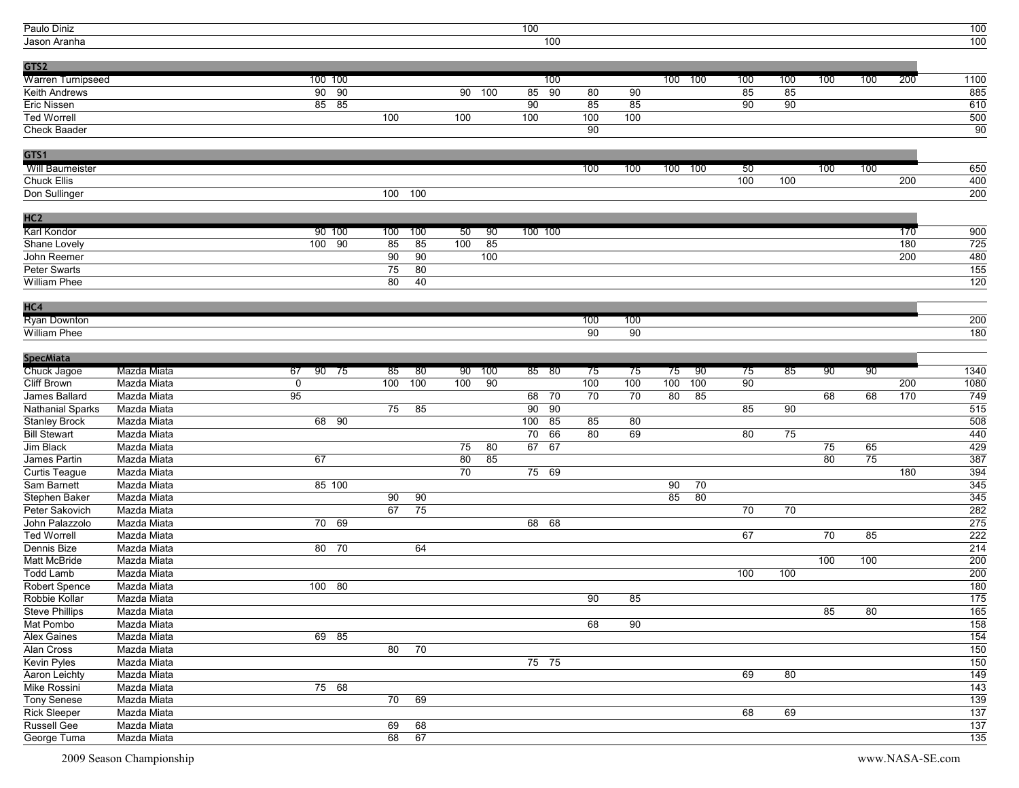| Paulo Diniz                      |             |                 |     |       |                 |        | 100                   |     |     |     |         |     |     |     |     |     | 100              |
|----------------------------------|-------------|-----------------|-----|-------|-----------------|--------|-----------------------|-----|-----|-----|---------|-----|-----|-----|-----|-----|------------------|
| Jason Aranha                     |             |                 |     |       |                 |        | 100                   |     |     |     |         |     |     |     |     |     | 100              |
|                                  |             |                 |     |       |                 |        |                       |     |     |     |         |     |     |     |     |     |                  |
| GTS2                             |             |                 |     |       |                 |        |                       |     |     |     |         |     |     |     |     |     |                  |
| <b>Warren Turnipseed</b>         |             | 100 100         |     |       |                 |        | 100                   |     |     |     | 100 100 | 100 | 100 | 100 | 100 | 200 | 1100             |
| Keith Andrews                    |             | $90\quad 90$    |     |       |                 | 90 100 | 90<br>85              | 80  | 90  |     |         | 85  | 85  |     |     |     | 885              |
| Eric Nissen                      |             | $85$ $85$       |     |       |                 |        | 90                    | 85  | 85  |     |         | 90  | 90  |     |     |     | 610              |
| <b>Ted Worrell</b>               |             |                 | 100 |       | 100             |        | 100                   | 100 | 100 |     |         |     |     |     |     |     | 500              |
| <b>Check Baader</b>              |             |                 |     |       |                 |        |                       | 90  |     |     |         |     |     |     |     |     | 90               |
| GTS1                             |             |                 |     |       |                 |        |                       |     |     |     |         |     |     |     |     |     |                  |
| Will Baumeister                  |             |                 |     |       |                 |        |                       | 100 | 100 | 100 | 100     | 50  |     | 100 | 100 |     | 650              |
| <b>Chuck Ellis</b>               |             |                 |     |       |                 |        |                       |     |     |     |         | 100 | 100 |     |     | 200 | 400              |
| Don Sullinger                    |             |                 | 100 | 100   |                 |        |                       |     |     |     |         |     |     |     |     |     | 200              |
| HC <sub>2</sub>                  |             |                 |     |       |                 |        |                       |     |     |     |         |     |     |     |     |     |                  |
| Karl Kondor                      |             | 90 100          | 100 | 100   | 50              | -90    | 100 100               |     |     |     |         |     |     |     |     | 170 | 900              |
| Shane Lovely                     |             | $100 - 90$      | 85  | 85    | 100             | 85     |                       |     |     |     |         |     |     |     |     | 180 | 725              |
| John Reemer                      |             |                 | 90  | 90    |                 | 100    |                       |     |     |     |         |     |     |     |     | 200 | 480              |
| Peter Swarts                     |             |                 | 75  | 80    |                 |        |                       |     |     |     |         |     |     |     |     |     | 155              |
| <b>William Phee</b>              |             |                 | 80  | 40    |                 |        |                       |     |     |     |         |     |     |     |     |     | 120              |
|                                  |             |                 |     |       |                 |        |                       |     |     |     |         |     |     |     |     |     |                  |
| HC4                              |             |                 |     |       |                 |        |                       |     |     |     |         |     |     |     |     |     |                  |
| <b>Ryan Downton</b>              |             |                 |     |       |                 |        |                       | 100 | 100 |     |         |     |     |     |     |     | 200              |
| William Phee                     |             |                 |     |       |                 |        |                       | 90  | 90  |     |         |     |     |     |     |     | 180              |
| <b>SpecMiata</b>                 |             |                 |     |       |                 |        |                       |     |     |     |         |     |     |     |     |     |                  |
| Chuck Jagoe                      | Mazda Miata | 67<br>90 75     | 85  | - 80  | 90              | 100    | 85 80                 | 75  | 75  | 75  | -90     | 75  | 85  | 90  | 90  |     | 1340             |
| <b>Cliff Brown</b>               | Mazda Miata | $\Omega$        | 100 | 100   | 100             | 90     |                       | 100 | 100 | 100 | 100     | 90  |     |     |     | 200 | 1080             |
| James Ballard                    | Mazda Miata | $\overline{95}$ |     |       |                 |        | 70<br>68              | 70  | 70  | 80  | 85      |     |     | 68  | 68  | 170 | 749              |
| Nathanial Sparks                 | Mazda Miata |                 | 75  | 85    |                 |        | $\overline{90}$<br>90 |     |     |     |         | 85  | 90  |     |     |     | 515              |
| <b>Stanley Brock</b>             | Mazda Miata | 68 90           |     |       |                 |        | 100<br>85             | 85  | 80  |     |         |     |     |     |     |     | 508              |
| <b>Bill Stewart</b>              | Mazda Miata |                 |     |       |                 |        | 70<br>66              | 80  | 69  |     |         | 80  | 75  |     |     |     | 440              |
| Jim Black                        | Mazda Miata |                 |     |       | $\overline{75}$ | 80     | 67<br>67              |     |     |     |         |     |     | 75  | 65  |     | 429              |
| James Partin                     | Mazda Miata | 67              |     |       | 80              | 85     |                       |     |     |     |         |     |     | 80  | 75  |     | 387              |
| <b>Curtis Teague</b>             | Mazda Miata |                 |     |       | 70              |        | 75 69                 |     |     |     |         |     |     |     |     | 180 | 394              |
| Sam Barnett                      | Mazda Miata | 85 100          |     |       |                 |        |                       |     |     | 90  | 70      |     |     |     |     |     | 345              |
| Stephen Baker                    | Mazda Miata |                 | 90  | 90    |                 |        |                       |     |     | 85  | 80      |     |     |     |     |     | 345              |
|                                  | Mazda Miata |                 | 67  |       |                 |        |                       |     |     |     |         |     |     |     |     |     | 282              |
| Peter Sakovich<br>John Palazzolo | Mazda Miata | 70 69           |     | 75    |                 |        | 68 68                 |     |     |     |         | 70  | 70  |     |     |     | 275              |
| <b>Ted Worrell</b>               |             |                 |     |       |                 |        |                       |     |     |     |         | 67  |     |     |     |     | 222              |
|                                  | Mazda Miata | 80 70           |     | 64    |                 |        |                       |     |     |     |         |     |     | 70  | 85  |     | $\overline{214}$ |
| Dennis Bize<br>Matt McBride      | Mazda Miata |                 |     |       |                 |        |                       |     |     |     |         |     |     |     |     |     | 200              |
| <b>Todd Lamb</b>                 | Mazda Miata |                 |     |       |                 |        |                       |     |     |     |         | 100 |     | 100 | 100 |     | 200              |
|                                  | Mazda Miata |                 |     |       |                 |        |                       |     |     |     |         |     | 100 |     |     |     |                  |
| Robert Spence                    | Mazda Miata | 100 80          |     |       |                 |        |                       |     |     |     |         |     |     |     |     |     | 180              |
| Robbie Kollar                    | Mazda Miata |                 |     |       |                 |        |                       | 90  | 85  |     |         |     |     |     |     |     | 175              |
| <b>Steve Phillips</b>            | Mazda Miata |                 |     |       |                 |        |                       |     |     |     |         |     |     | 85  | 80  |     | 165              |
| Mat Pombo                        | Mazda Miata |                 |     |       |                 |        |                       | 68  | 90  |     |         |     |     |     |     |     | 158              |
| <b>Alex Gaines</b>               | Mazda Miata | 69 85           |     |       |                 |        |                       |     |     |     |         |     |     |     |     |     | $\overline{154}$ |
| Alan Cross                       | Mazda Miata |                 |     | 80 70 |                 |        |                       |     |     |     |         |     |     |     |     |     | 150              |
| <b>Kevin Pyles</b>               | Mazda Miata |                 |     |       |                 |        | $75$ 75               |     |     |     |         |     |     |     |     |     | 150              |
| Aaron Leichty                    | Mazda Miata |                 |     |       |                 |        |                       |     |     |     |         | 69  | 80  |     |     |     | 149              |
| Mike Rossini                     | Mazda Miata | 75 68           |     |       |                 |        |                       |     |     |     |         |     |     |     |     |     | 143              |
| <b>Tony Senese</b>               | Mazda Miata |                 | 70  | 69    |                 |        |                       |     |     |     |         |     |     |     |     |     | 139              |
| <b>Rick Sleeper</b>              | Mazda Miata |                 |     |       |                 |        |                       |     |     |     |         | 68  | 69  |     |     |     | $\overline{137}$ |
| Russell Gee                      | Mazda Miata |                 | 69  | 68    |                 |        |                       |     |     |     |         |     |     |     |     |     | 137              |
| George Tuma                      | Mazda Miata |                 | 68  | 67    |                 |        |                       |     |     |     |         |     |     |     |     |     | 135              |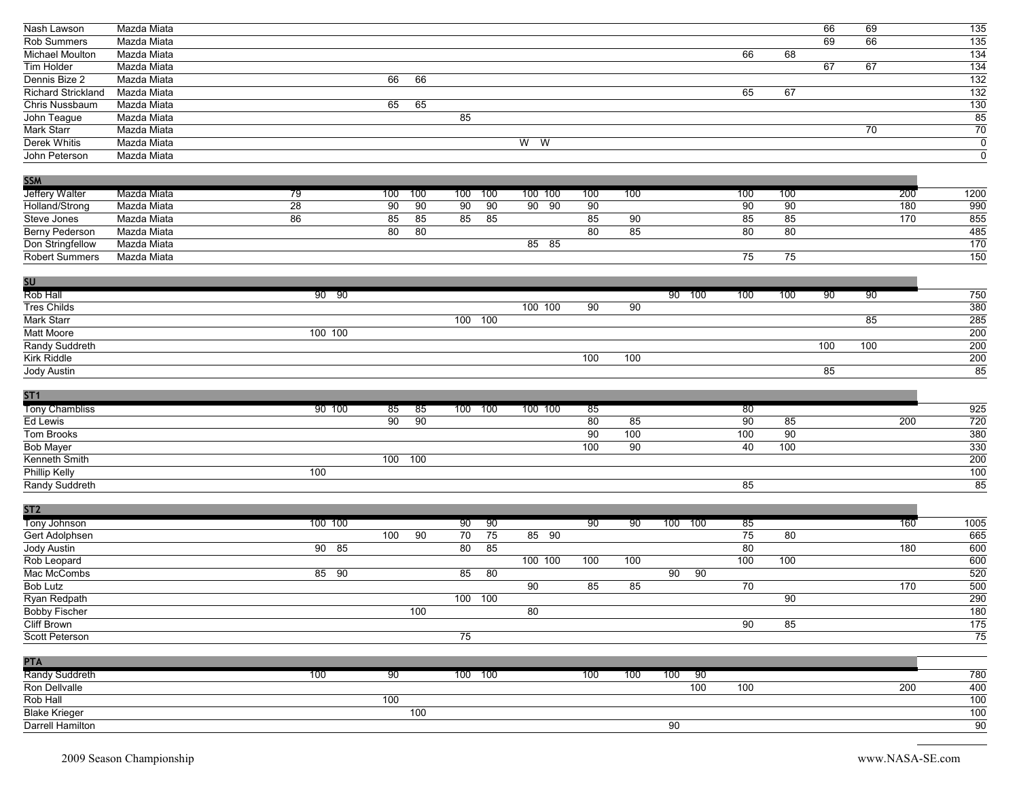| Nash Lawson                              | Mazda Miata |         |                                    |                       |         |                 |                 |             |                 |     | 66  | 69  |     | $\overline{135}$          |
|------------------------------------------|-------------|---------|------------------------------------|-----------------------|---------|-----------------|-----------------|-------------|-----------------|-----|-----|-----|-----|---------------------------|
| Rob Summers                              | Mazda Miata |         |                                    |                       |         |                 |                 |             |                 |     | 69  | 66  |     | $\overline{135}$          |
| Michael Moulton                          | Mazda Miata |         |                                    |                       |         |                 |                 |             | 66              | 68  |     |     |     | $\overline{134}$          |
| Tim Holder                               | Mazda Miata |         |                                    |                       |         |                 |                 |             |                 |     | 67  | 67  |     | $\overline{134}$          |
| Dennis Bize 2                            | Mazda Miata |         | 66<br>66                           |                       |         |                 |                 |             |                 |     |     |     |     | $\overline{132}$          |
| Richard Strickland                       | Mazda Miata |         |                                    |                       |         |                 |                 |             | 65              | 67  |     |     |     | $\overline{132}$          |
| Chris Nussbaum                           | Mazda Miata |         | 65<br>65                           |                       |         |                 |                 |             |                 |     |     |     |     | $\overline{130}$          |
|                                          |             |         |                                    |                       |         |                 |                 |             |                 |     |     |     |     |                           |
| John Teague                              | Mazda Miata |         |                                    | 85                    |         |                 |                 |             |                 |     |     |     |     | $\frac{85}{70}$           |
| Mark Starr                               | Mazda Miata |         |                                    |                       |         |                 |                 |             |                 |     |     | 70  |     |                           |
| Derek Whitis                             | Mazda Miata |         |                                    |                       | $W$ W   |                 |                 |             |                 |     |     |     |     | $\overline{0}$            |
| John Peterson                            | Mazda Miata |         |                                    |                       |         |                 |                 |             |                 |     |     |     |     | $\overline{\mathfrak{o}}$ |
|                                          |             |         |                                    |                       |         |                 |                 |             |                 |     |     |     |     |                           |
| <b>SSM</b>                               |             |         |                                    |                       |         |                 |                 |             |                 |     |     |     |     |                           |
| <b>Jeffery Walter</b>                    | Mazda Miata | 79      | 100<br>100                         | 100<br>100            | 100 100 | 100             | 100             |             | 100             | 100 |     |     | 200 | 1200                      |
| Holland/Strong                           | Mazda Miata | 28      | $\overline{90}$<br>$\overline{90}$ | $\overline{90}$<br>90 | 90 90   | $\overline{90}$ |                 |             | 90              | 90  |     |     | 180 | 990                       |
| Steve Jones                              | Mazda Miata | 86      | 85<br>85                           | 85<br>85              |         | 85              | 90              |             | 85              | 85  |     |     | 170 | 855                       |
| Berny Pederson                           | Mazda Miata |         | 80<br>80                           |                       |         | $\overline{80}$ | 85              |             | $\overline{80}$ | 80  |     |     |     | 485                       |
| Don Stringfellow                         | Mazda Miata |         |                                    |                       | 85 85   |                 |                 |             |                 |     |     |     |     | $\frac{1}{170}$           |
| <b>Robert Summers</b>                    | Mazda Miata |         |                                    |                       |         |                 |                 |             | $\overline{75}$ | 75  |     |     |     | $\overline{150}$          |
|                                          |             |         |                                    |                       |         |                 |                 |             |                 |     |     |     |     |                           |
| SU                                       |             |         |                                    |                       |         |                 |                 |             |                 |     |     |     |     |                           |
| Rob Hall                                 |             | 90 90   |                                    |                       |         |                 |                 | 90 100      | 100             | 100 | 90  | 90  |     | 750                       |
| <b>Tres Childs</b>                       |             |         |                                    |                       | 100 100 | 90              | 90              |             |                 |     |     |     |     | 380                       |
| Mark Starr                               |             |         |                                    | 100<br>100            |         |                 |                 |             |                 |     |     | 85  |     | 285                       |
| Matt Moore                               |             | 100 100 |                                    |                       |         |                 |                 |             |                 |     |     |     |     | 200                       |
|                                          |             |         |                                    |                       |         |                 |                 |             |                 |     |     |     |     |                           |
| Randy Suddreth                           |             |         |                                    |                       |         |                 |                 |             |                 |     | 100 | 100 |     | $\overline{200}$          |
| Kirk Riddle                              |             |         |                                    |                       |         | 100             | 100             |             |                 |     |     |     |     | 200                       |
| Jody Austin                              |             |         |                                    |                       |         |                 |                 |             |                 |     | 85  |     |     | 85                        |
|                                          |             |         |                                    |                       |         |                 |                 |             |                 |     |     |     |     |                           |
|                                          |             |         |                                    |                       |         |                 |                 |             |                 |     |     |     |     |                           |
| ST <sub>1</sub>                          |             |         |                                    |                       |         |                 |                 |             |                 |     |     |     |     |                           |
| <b>Tony Chambliss</b>                    |             | 90 100  | 85<br>85                           | 100 100               | 100 100 | 85              |                 |             | 80              |     |     |     |     | 925                       |
| Ed Lewis                                 |             |         | 90<br>90                           |                       |         | 80              | 85              |             | 90              | 85  |     |     | 200 | 720                       |
| Tom Brooks                               |             |         |                                    |                       |         | $\overline{90}$ | 100             |             | 100             | 90  |     |     |     | 380                       |
| <b>Bob Mayer</b>                         |             |         |                                    |                       |         | 100             | $\overline{90}$ |             | 40              | 100 |     |     |     | 330                       |
|                                          |             |         | 100<br>100                         |                       |         |                 |                 |             |                 |     |     |     |     |                           |
| Kenneth Smith                            |             | 100     |                                    |                       |         |                 |                 |             |                 |     |     |     |     | $\overline{200}$          |
| Phillip Kelly                            |             |         |                                    |                       |         |                 |                 |             |                 |     |     |     |     | 100                       |
| Randy Suddreth                           |             |         |                                    |                       |         |                 |                 |             | 85              |     |     |     |     | $\overline{85}$           |
| ST <sub>2</sub>                          |             |         |                                    |                       |         |                 |                 |             |                 |     |     |     |     |                           |
|                                          |             |         |                                    |                       |         |                 |                 |             |                 |     |     |     |     |                           |
| Tony Johnson                             |             | 100 100 |                                    | 90<br>90              |         | 90              | 90              | 100 100     | 85              | 80  |     |     | 160 | 1005                      |
| Gert Adolphsen                           |             |         | 90<br>100                          | 75<br>70              | 85 90   |                 |                 |             | 75              |     |     |     |     | 665                       |
| Jody Austin                              |             | $90$ 85 |                                    | 80<br>85              |         |                 |                 |             | 80              |     |     |     | 180 | 600                       |
| Rob Leopard                              |             |         |                                    |                       | 100 100 | 100             | 100             |             | 100             | 100 |     |     |     | 600                       |
| Mac McCombs                              |             | 85 90   |                                    | 85<br>80              |         |                 |                 | 90<br>90    |                 |     |     |     |     | 520                       |
| <b>Bob Lutz</b>                          |             |         |                                    |                       | 90      | 85              | 85              |             | 70              |     |     |     | 170 | 500                       |
| Ryan Redpath                             |             |         |                                    | 100 100               |         |                 |                 |             |                 | 90  |     |     |     | $\overline{290}$          |
| <b>Bobby Fischer</b>                     |             |         | 100                                |                       | 80      |                 |                 |             |                 |     |     |     |     | $\overline{180}$          |
| <b>Cliff Brown</b>                       |             |         |                                    |                       |         |                 |                 |             | 90              | 85  |     |     |     | $\frac{175}{175}$         |
| Scott Peterson                           |             |         |                                    | 75                    |         |                 |                 |             |                 |     |     |     |     | $\overline{75}$           |
|                                          |             |         |                                    |                       |         |                 |                 |             |                 |     |     |     |     |                           |
| <b>PTA</b>                               |             |         |                                    |                       |         |                 |                 |             |                 |     |     |     |     |                           |
| Randy Suddreth                           |             | 100     | 90                                 | 100 100               |         | 100             | 100             | 100<br>- 90 |                 |     |     |     |     | 780                       |
| Ron Dellvalle                            |             |         |                                    |                       |         |                 |                 | 100         | 100             |     |     |     | 200 | 400                       |
| Rob Hall                                 |             |         | 100                                |                       |         |                 |                 |             |                 |     |     |     |     | 100                       |
| <b>Blake Krieger</b><br>Darrell Hamilton |             |         | 100                                |                       |         |                 |                 | 90          |                 |     |     |     |     | 100<br>90                 |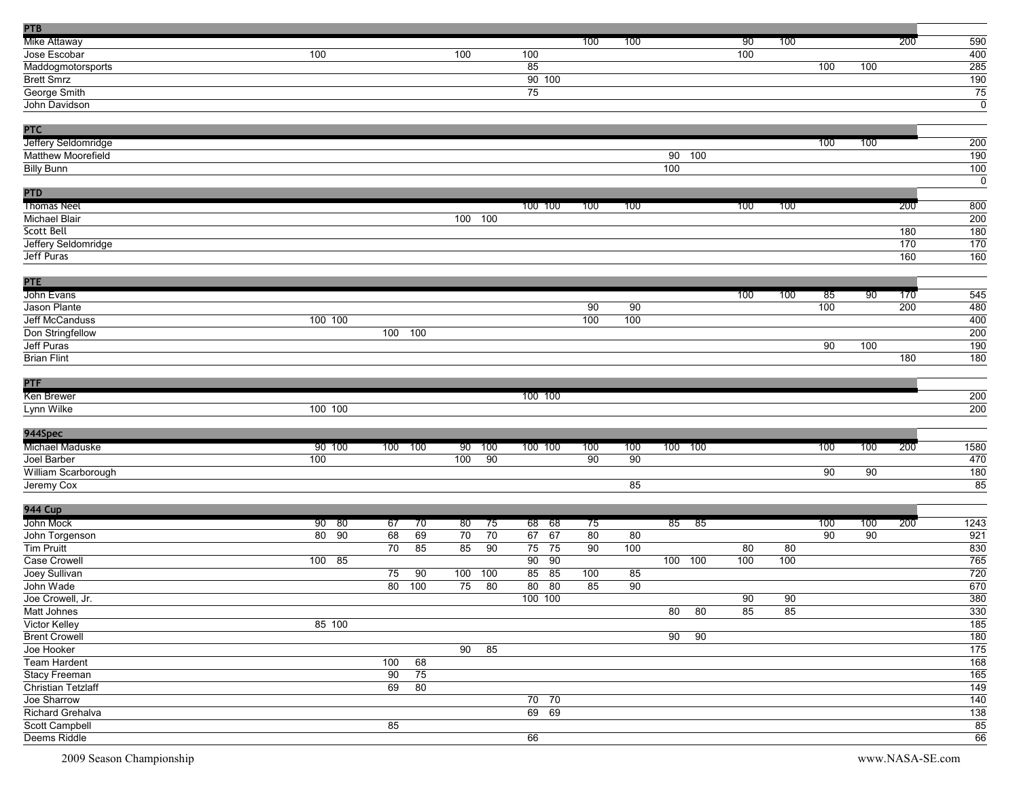| <b>PTB</b>                |         |     |     |     |                 |                       |     |     |                 |                 |                 |                 |     |                 |     |                  |
|---------------------------|---------|-----|-----|-----|-----------------|-----------------------|-----|-----|-----------------|-----------------|-----------------|-----------------|-----|-----------------|-----|------------------|
| Mike Attaway              |         |     |     |     |                 |                       | 100 | 100 |                 |                 | 90              | 100             |     |                 | 200 | 590              |
| Jose Escobar              | 100     |     |     | 100 |                 | 100                   |     |     |                 |                 | 100             |                 |     |                 |     | 400              |
| Maddogmotorsports         |         |     |     |     |                 | 85                    |     |     |                 |                 |                 |                 | 100 | 100             |     | 285              |
| <b>Brett Smrz</b>         |         |     |     |     |                 | 90 100                |     |     |                 |                 |                 |                 |     |                 |     | 190              |
| George Smith              |         |     |     |     |                 | $\overline{75}$       |     |     |                 |                 |                 |                 |     |                 |     | 75               |
| John Davidson             |         |     |     |     |                 |                       |     |     |                 |                 |                 |                 |     |                 |     | $\mathbf 0$      |
|                           |         |     |     |     |                 |                       |     |     |                 |                 |                 |                 |     |                 |     |                  |
| PTC                       |         |     |     |     |                 |                       |     |     |                 |                 |                 |                 |     |                 |     |                  |
| Jeffery Seldomridge       |         |     |     |     |                 |                       |     |     |                 |                 |                 |                 | 100 | 100             |     | 200              |
| Matthew Moorefield        |         |     |     |     |                 |                       |     |     | 90              | 100             |                 |                 |     |                 |     | 190              |
| <b>Billy Bunn</b>         |         |     |     |     |                 |                       |     |     | 100             |                 |                 |                 |     |                 |     | $\frac{100}{20}$ |
|                           |         |     |     |     |                 |                       |     |     |                 |                 |                 |                 |     |                 |     | $\overline{0}$   |
| <b>PTD</b>                |         |     |     |     |                 |                       |     |     |                 |                 |                 |                 |     |                 |     |                  |
| <b>Thomas Neel</b>        |         |     |     |     |                 | 100 100               | 100 | 100 |                 |                 | 100             | 100             |     |                 | 200 | 800              |
| Michael Blair             |         |     |     | 100 | 100             |                       |     |     |                 |                 |                 |                 |     |                 |     | 200              |
| Scott Bell                |         |     |     |     |                 |                       |     |     |                 |                 |                 |                 |     |                 | 180 | 180              |
| Jeffery Seldomridge       |         |     |     |     |                 |                       |     |     |                 |                 |                 |                 |     |                 | 170 | 170              |
| Jeff Puras                |         |     |     |     |                 |                       |     |     |                 |                 |                 |                 |     |                 |     |                  |
|                           |         |     |     |     |                 |                       |     |     |                 |                 |                 |                 |     |                 | 160 | 160              |
|                           |         |     |     |     |                 |                       |     |     |                 |                 |                 |                 |     |                 |     |                  |
| <b>PTE</b>                |         |     |     |     |                 |                       |     |     |                 |                 |                 |                 |     |                 |     |                  |
| John Evans                |         |     |     |     |                 |                       |     |     |                 |                 | 100             | 100             | 85  | 90              | 170 | 545              |
| Jason Plante              |         |     |     |     |                 |                       | 90  | 90  |                 |                 |                 |                 | 100 |                 | 200 | 480              |
| Jeff McCanduss            | 100 100 |     |     |     |                 |                       | 100 | 100 |                 |                 |                 |                 |     |                 |     | 400              |
| Don Stringfellow          |         | 100 | 100 |     |                 |                       |     |     |                 |                 |                 |                 |     |                 |     | 200              |
| Jeff Puras                |         |     |     |     |                 |                       |     |     |                 |                 |                 |                 | 90  | 100             |     | 190              |
| <b>Brian Flint</b>        |         |     |     |     |                 |                       |     |     |                 |                 |                 |                 |     |                 | 180 | 180              |
|                           |         |     |     |     |                 |                       |     |     |                 |                 |                 |                 |     |                 |     |                  |
| PTF                       |         |     |     |     |                 |                       |     |     |                 |                 |                 |                 |     |                 |     |                  |
| Ken Brewer                |         |     |     |     |                 | 100 100               |     |     |                 |                 |                 |                 |     |                 |     | 200              |
| Lynn Wilke                | 100 100 |     |     |     |                 |                       |     |     |                 |                 |                 |                 |     |                 |     | 200              |
|                           |         |     |     |     |                 |                       |     |     |                 |                 |                 |                 |     |                 |     |                  |
| 944Spec                   |         |     |     |     |                 |                       |     |     |                 |                 |                 |                 |     |                 |     |                  |
| Michael Maduske           | 90 100  | 100 | 100 | 90  | 100             | 100 100               | 100 | 100 | 100 100         |                 |                 |                 | 100 | 100             | 200 | 1580             |
| Joel Barber               | 100     |     |     | 100 | $\overline{90}$ |                       | 90  | 90  |                 |                 |                 |                 |     |                 |     | 470              |
| William Scarborough       |         |     |     |     |                 |                       |     |     |                 |                 |                 |                 | 90  | 90              |     | 180              |
| Jeremy Cox                |         |     |     |     |                 |                       |     | 85  |                 |                 |                 |                 |     |                 |     | 85               |
|                           |         |     |     |     |                 |                       |     |     |                 |                 |                 |                 |     |                 |     |                  |
| <b>944 Cup</b>            |         |     |     |     |                 |                       |     |     |                 |                 |                 |                 |     |                 |     |                  |
| John Mock                 | 90 80   | 67  | 70  | 80  | 75              | 68<br>- 68            | 75  |     | 85              | - 85            |                 |                 | 100 | 100             | 200 | 1243             |
| John Torgenson            | 80 90   | 68  | 69  | 70  | 70              | 67<br>67              | 80  | 80  |                 |                 |                 |                 | 90  | $\overline{90}$ |     | 921              |
| Tim Pruitt                |         | 70  | 85  | 85  | 90              | 75<br>75              | 90  | 100 |                 |                 | 80              | 80              |     |                 |     | 830              |
| Case Crowell              | 100 85  |     |     |     |                 | $\overline{90}$<br>90 |     |     | 100 100         |                 | 100             | 100             |     |                 |     | 765              |
| Joey Sullivan             |         | 75  | 90  | 100 | 100             | 85<br>85              | 100 | 85  |                 |                 |                 |                 |     |                 |     | 720              |
| John Wade                 |         | 80  | 100 | 75  | 80              | 80<br>80              | 85  | 90  |                 |                 |                 |                 |     |                 |     | 670              |
| Joe Crowell, Jr.          |         |     |     |     |                 | 100 100               |     |     |                 |                 | $\overline{90}$ | $\overline{90}$ |     |                 |     | 380              |
| Matt Johnes               |         |     |     |     |                 |                       |     |     | 80              | 80              | 85              | 85              |     |                 |     | 330              |
| Victor Kelley             | 85 100  |     |     |     |                 |                       |     |     |                 |                 |                 |                 |     |                 |     | 185              |
| <b>Brent Crowell</b>      |         |     |     |     |                 |                       |     |     | $\overline{90}$ | $\overline{90}$ |                 |                 |     |                 |     | 180              |
| Joe Hooker                |         |     |     | 90  | 85              |                       |     |     |                 |                 |                 |                 |     |                 |     | 175              |
| Team Hardent              |         | 100 | 68  |     |                 |                       |     |     |                 |                 |                 |                 |     |                 |     | 168              |
| Stacy Freeman             |         | 90  | 75  |     |                 |                       |     |     |                 |                 |                 |                 |     |                 |     | 165              |
| <b>Christian Tetzlaff</b> |         | 69  | 80  |     |                 |                       |     |     |                 |                 |                 |                 |     |                 |     | 149              |
| Joe Sharrow               |         |     |     |     |                 | $70$ $70$             |     |     |                 |                 |                 |                 |     |                 |     | $\overline{140}$ |
| Richard Grehalva          |         |     |     |     |                 | 69 69                 |     |     |                 |                 |                 |                 |     |                 |     | 138              |
| Scott Campbell            |         | 85  |     |     |                 |                       |     |     |                 |                 |                 |                 |     |                 |     | 85               |
| Deems Riddle              |         |     |     |     |                 | 66                    |     |     |                 |                 |                 |                 |     |                 |     | 66               |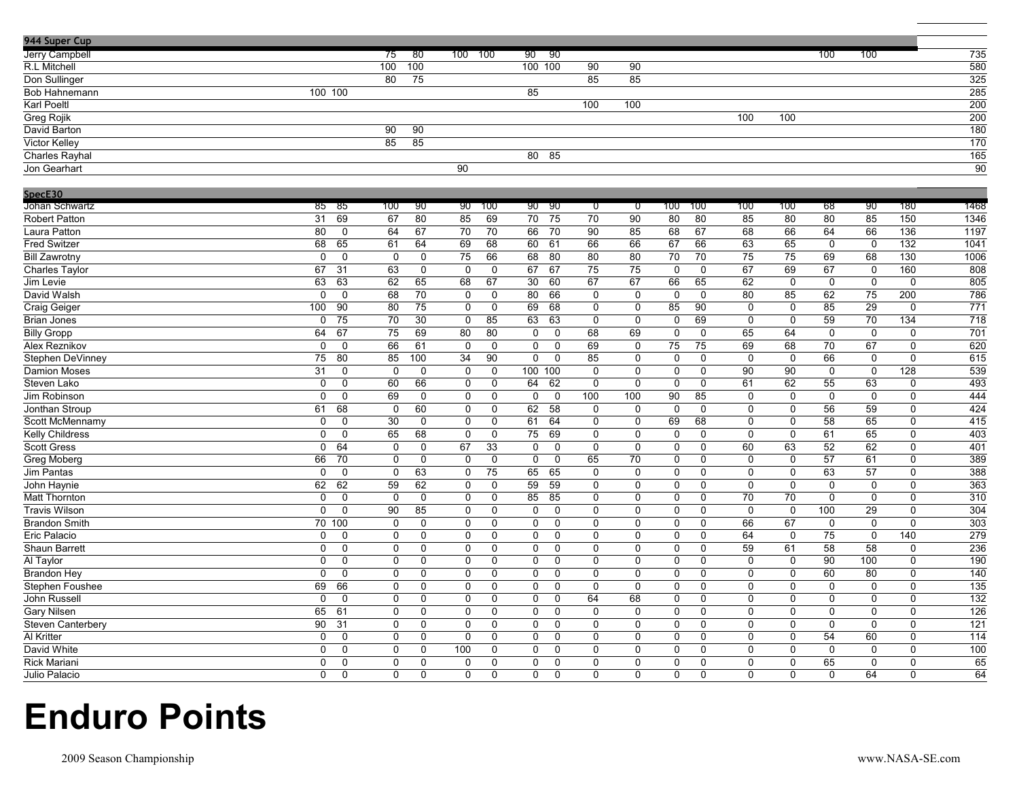| Jerry Campbell<br>-80<br>100<br>100<br>735<br>75<br>100 100<br>90 <sup>2</sup><br>-90<br>100<br>R.L Mitchell<br>100<br>100 100<br>580<br>90<br>90<br>325<br>75<br>85<br>85<br>Don Sullinger<br>80<br>285<br>Bob Hahnemann<br>100 100<br>85<br>$\overline{200}$<br>Karl Poeltl<br>100<br>100<br>100<br>100<br>200<br><b>Greg Rojik</b><br>90<br>90<br>180<br>David Barton<br>$\overline{85}$<br>$\overline{85}$<br>170<br>Victor Kelley<br>165<br>Charles Rayhal<br>80<br>85<br>90<br>90<br>Jon Gearhart<br>SpecE30<br>1468<br>85 85<br>90<br>90 <sup>°</sup><br>90<br>100<br>100<br>100<br>100<br>68<br>90<br>180<br>Johan Schwartz<br>100<br>100<br>90<br>$\overline{0}$<br>ಾ<br>$\overline{31}$<br>69<br>67<br>$\overline{80}$<br>69<br>$\overline{70}$<br>$\overline{75}$<br>$\overline{80}$<br>$\overline{85}$<br>150<br><b>Robert Patton</b><br>85<br>70<br>90<br>80<br>85<br>80<br>80<br>1346<br>Laura Patton<br>80<br>$\overline{0}$<br>64<br>67<br>70<br>70<br>66<br>70<br>90<br>68<br>67<br>68<br>64<br>66<br>136<br>1197<br>85<br>66<br>68<br>65<br>61<br>64<br>69<br>68<br>60<br>61<br>66<br>67<br>66<br>63<br>$\mathbf 0$<br>132<br>1041<br><b>Fred Switzer</b><br>66<br>65<br>$\mathbf 0$<br>$\mathbf 0$<br>$\overline{68}$<br>80<br>80<br>70<br>$\overline{70}$<br>$\overline{75}$<br>1006<br><b>Bill Zawrotny</b><br>$\Omega$<br>$\Omega$<br>$\mathbf 0$<br>75<br>66<br>80<br>75<br>69<br>68<br>130<br>67<br>31<br>63<br>$\mathbf 0$<br>$\mathbf 0$<br>$\mathbf 0$<br>67<br>67<br>75<br>75<br>$\mathbf 0$<br>$\mathbf 0$<br>67<br>69<br>67<br>$\mathbf 0$<br>160<br>808<br><b>Charles Taylor</b><br>63<br>63<br>62<br>68<br>67<br>30<br>60<br>67<br>66<br>65<br>62<br>$\mathsf 0$<br>$\mathbf 0$<br>$\mathbf 0$<br>805<br>Jim Levie<br>65<br>67<br>0<br>80<br>75<br>200<br>786<br>David Walsh<br>$\mathbf{0}$<br>$\mathbf 0$<br>68<br>70<br>$\mathbf 0$<br>$\mathbf 0$<br>66<br>$\mathbf 0$<br>$\mathbf 0$<br>$\mathbf 0$<br>$\Omega$<br>80<br>85<br>62<br>$\overline{29}$<br>Craig Geiger<br>100<br>90<br>80<br>75<br>0<br>$\mathbf 0$<br>69<br>68<br>$\mathbf 0$<br>$\mathsf 0$<br>85<br>90<br>$\mathsf 0$<br>85<br>771<br>$\mathbf 0$<br>0<br>63<br>$\mathbf 0$<br>69<br>59<br>70<br>134<br>718<br>Brian Jones<br>$\mathbf 0$<br>75<br>70<br>30<br>$\mathbf 0$<br>85<br>63<br>$\mathbf 0$<br>$\mathbf 0$<br>$\mathbf 0$<br>$\mathbf 0$<br>64<br>75<br>$\mathbf 0$<br>701<br><b>Billy Gropp</b><br>67<br>69<br>80<br>80<br>0<br>68<br>69<br>$\mathbf 0$<br>0<br>65<br>64<br>0<br>$\Omega$<br>0<br>$\overline{75}$<br>$\overline{70}$<br>67<br>620<br>$\mathbf 0$<br>66<br>61<br>$\mathbf 0$<br>$\mathbf 0$<br>0<br>$\mathbf 0$<br>69<br>$\mathsf 0$<br>75<br>69<br>68<br>0<br>Alex Reznikov<br>0<br>85<br>34<br>90<br>85<br>66<br>0<br>615<br>Stephen DeVinney<br>75<br>80<br>100<br>0<br>$\mathbf 0$<br>$\mathbf 0$<br>$\mathbf 0$<br>0<br>$\mathbf 0$<br>$\mathbf 0$<br>$\mathbf 0$<br>$\mathbf 0$<br>$\mathsf 0$<br>128<br>539<br>31<br>$\mathbf 0$<br>$\mathbf 0$<br>$\mathbf 0$<br>$\mathbf 0$<br>100<br>100<br>$\mathbf 0$<br>$\mathbf 0$<br>$\mathbf 0$<br>$\mathbf 0$<br>90<br>90<br><b>Damion Moses</b><br>0<br>$\overline{55}$<br>Steven Lako<br>$\overline{0}$<br>$\overline{0}$<br>60<br>66<br>$\overline{0}$<br>$\overline{0}$<br>64<br>62<br>$\overline{0}$<br>$\overline{0}$<br>$\overline{0}$<br>$\overline{0}$<br>61<br>62<br>63<br>$\overline{0}$<br>493<br>$\Omega$<br>0<br>69<br>$\Omega$<br>0<br>$\mathbf 0$<br>$\mathbf 0$<br>100<br>90<br>85<br>$\mathbf 0$<br>$\mathbf 0$<br>$\mathbf 0$<br>$\mathbf 0$<br>0<br>444<br>Jim Robinson<br>$\mathbf 0$<br>100<br>62<br>56<br>424<br>Jonthan Stroup<br>61<br>68<br>$\mathbf 0$<br>60<br>$\mathbf 0$<br>$\mathbf 0$<br>58<br>$\mathbf 0$<br>$\mathbf 0$<br>$\mathbf 0$<br>$\mathbf 0$<br>$\mathbf 0$<br>$\mathbf 0$<br>59<br>0<br>$\Omega$<br>30<br>61<br>64<br>$\mathbf 0$<br>69<br>68<br>$\mathbf 0$<br>$\mathbf 0$<br>58<br>65<br>$\Omega$<br>415<br>Scott McMennamy<br>$\mathbf{0}$<br>0<br>$\mathbf 0$<br>$\Omega$<br>$\mathbf 0$<br>403<br><b>Kelly Childress</b><br>75<br>69<br>65<br>$\Omega$<br>0<br>65<br>68<br>$\mathbf 0$<br>$\mathbf 0$<br>$\mathbf 0$<br>$\mathbf 0$<br>$\mathbf 0$<br>$\mathbf 0$<br>$\mathbf 0$<br>$\mathbf 0$<br>61<br>0<br>52<br>62<br>401<br><b>Scott Gress</b><br>$\mathbf 0$<br>64<br>$\mathbf 0$<br>$\mathbf 0$<br>67<br>33<br>0<br>$\mathbf 0$<br>$\mathbf 0$<br>$\mathbf 0$<br>$\mathbf 0$<br>$\mathbf 0$<br>60<br>63<br>0<br>$\mathbf 0$<br>389<br><b>Greg Moberg</b><br>66<br>70<br>0<br>$\mathbf 0$<br>$\mathbf 0$<br>$\mathbf 0$<br>65<br>70<br>$\mathbf 0$<br>$\mathbf 0$<br>57<br>61<br>0<br>$\mathbf 0$<br>$\Omega$<br>$\mathbf 0$<br>$\overline{57}$<br>388<br>$\Omega$<br>$\mathbf 0$<br>$\mathbf 0$<br>63<br>75<br>65<br>65<br>$\mathbf 0$<br>$\mathbf 0$<br>$\mathbf 0$<br>$\mathbf 0$<br>$\mathbf 0$<br>63<br>0<br>Jim Pantas<br>$\mathbf 0$<br>0<br>$\overline{59}$<br>363<br>62<br>62<br>59<br>62<br>$\mathbf 0$<br>59<br>$\mathbf 0$<br>$\mathbf 0$<br>$\mathbf 0$<br>$\mathbf 0$<br>$\mathsf 0$<br>$\mathbf 0$<br>0<br>John Haynie<br>$\mathbf 0$<br>$\mathbf 0$<br>$\mathbf 0$<br>$\Omega$<br>$\mathbf{0}$<br>310<br>$\Omega$<br>$\Omega$<br>$\mathbf{0}$<br>$\Omega$<br>$\Omega$<br>85<br>85<br>$\Omega$<br>$\mathbf{0}$<br>$\Omega$<br>70<br>70<br>$\Omega$<br>$\Omega$<br>$\Omega$<br><b>Matt Thornton</b><br>$\overline{304}$<br>Travis Wilson<br>$\Omega$<br>$\mathbf 0$<br>90<br>85<br>$\pmb{0}$<br>$\mathbf 0$<br>$\mathbf 0$<br>$\mathbf 0$<br>$\mathbf 0$<br>$\mathbf 0$<br>$\mathbf 0$<br>$\mathbf 0$<br>$\mathbf 0$<br>$\mathsf 0$<br>100<br>29<br>0<br>70 100<br>$\mathbf 0$<br>66<br>67<br>$\mathbf 0$<br>303<br><b>Brandon Smith</b><br>$\mathbf 0$<br>$\mathbf 0$<br>$\mathbf 0$<br>$\mathbf 0$<br>0<br>$\mathbf 0$<br>$\mathbf 0$<br>$\mathbf 0$<br>0<br>$\mathbf 0$<br>0<br>75<br>140<br>279<br>Eric Palacio<br>$\mathbf{0}$<br>$\mathbf 0$<br>$\mathbf 0$<br>$\mathbf 0$<br>$\mathbf 0$<br>$\mathbf 0$<br>$\mathbf 0$<br>64<br>$\mathbf 0$<br>0<br>$\mathbf{0}$<br>0<br>0<br>0<br>0<br>Shaun Barrett<br>$\mathbf 0$<br>59<br>58<br>58<br>236<br>$\Omega$<br>0<br>$\mathbf 0$<br>0<br>0<br>0<br>0<br>$\mathbf 0$<br>$\mathbf 0$<br>$\mathbf 0$<br>0<br>61<br>0<br>90<br>100<br>190<br>Al Taylor<br>$\mathbf 0$<br>0<br>0<br>0<br>0<br>$\mathbf 0$<br>0<br>0<br>$\mathbf 0$<br>$\mathbf 0$<br>$\mathbf 0$<br>0<br>$\mathbf 0$<br>$\mathbf 0$<br>0<br>60<br>0<br>140<br>$\mathbf 0$<br>0<br>0<br>0<br>0<br>$\mathbf 0$<br>0<br>$\mathbf 0$<br>$\mathbf 0$<br>$\mathbf 0$<br>$\mathbf 0$<br>$\mathbf 0$<br>80<br><b>Brandon Hey</b><br>0<br>0<br>$\overline{135}$<br>69<br>66<br>$\overline{0}$<br>$\overline{0}$<br>$\overline{0}$<br>$\overline{0}$<br>$\overline{0}$<br>$\overline{0}$<br>$\overline{0}$<br>$\overline{0}$<br>$\overline{0}$<br>$\overline{0}$<br>$\overline{0}$<br>Stephen Foushee<br>$\mathbf 0$<br>0<br>0<br>0<br>John Russell<br>$\Omega$<br>$\mathbf 0$<br>0<br>64<br>$\mathbf 0$<br>0<br>0<br>132<br>$\Omega$<br>0<br>$\mathbf 0$<br>0<br>$\mathbf 0$<br>68<br>$\mathbf 0$<br>0<br>$\mathbf 0$<br>$\mathbf 0$<br>65<br>$\mathbf 0$<br>$\mathbf 0$<br>$\mathbf 0$<br>$\mathbf 0$<br>0<br>0<br>126<br><b>Gary Nilsen</b><br>61<br>$\Omega$<br>$\mathbf 0$<br>$\mathbf 0$<br>0<br>0<br>$\mathbf 0$<br>$\mathbf 0$<br>0<br>$\mathbf 0$<br>Steven Canterbery<br>90<br>$\Omega$<br>$\Omega$<br>$\Omega$<br>$\mathbf 0$<br>$\mathbf 0$<br>$\mathbf 0$<br>0<br>$\Omega$<br>121<br>31<br>$\Omega$<br>$\Omega$<br>$\Omega$<br>0<br>$\mathbf 0$<br>$\mathbf 0$<br>$\Omega$<br>$\overline{0}$<br>54<br>60<br>114<br>Al Kritter<br>$\Omega$<br>$\mathbf 0$<br>0<br>$\Omega$<br>$\mathbf{0}$<br>0<br>$\mathbf 0$<br>$\mathbf 0$<br>$\mathbf 0$<br>$\mathbf 0$<br>0<br>$\mathbf 0$<br>$\mathbf 0$<br>0<br>David White<br>100<br>$\Omega$<br>0<br>0<br>0<br>100<br>$\mathbf{0}$<br>0<br>$\mathbf 0$<br>$\mathbf 0$<br>$\mathbf 0$<br>$\mathbf 0$<br>$\Omega$<br>0<br>$\mathbf 0$<br>$\mathbf 0$<br>0<br>0<br>65<br>Rick Mariani<br>$\Omega$<br>$\Omega$<br>$\Omega$<br>$\Omega$<br>$\Omega$<br>$\Omega$<br>$\mathbf 0$<br>65<br>$\Omega$<br>$\Omega$<br>$\Omega$<br>0<br>$\Omega$<br>$\Omega$<br>$\Omega$<br>$\Omega$<br>$\Omega$<br>$\Omega$<br>$\Omega$<br>64<br>64<br>Julio Palacio<br>$\Omega$<br>0<br>0<br>$\Omega$<br>$\mathbf 0$<br>$\Omega$<br>$\Omega$<br>$\Omega$<br>$\Omega$<br>$\Omega$<br>$\Omega$<br>$\Omega$<br>$\Omega$<br>$\Omega$ | 944 Super Cup |  |  |  |  |  |  |  |  |
|------------------------------------------------------------------------------------------------------------------------------------------------------------------------------------------------------------------------------------------------------------------------------------------------------------------------------------------------------------------------------------------------------------------------------------------------------------------------------------------------------------------------------------------------------------------------------------------------------------------------------------------------------------------------------------------------------------------------------------------------------------------------------------------------------------------------------------------------------------------------------------------------------------------------------------------------------------------------------------------------------------------------------------------------------------------------------------------------------------------------------------------------------------------------------------------------------------------------------------------------------------------------------------------------------------------------------------------------------------------------------------------------------------------------------------------------------------------------------------------------------------------------------------------------------------------------------------------------------------------------------------------------------------------------------------------------------------------------------------------------------------------------------------------------------------------------------------------------------------------------------------------------------------------------------------------------------------------------------------------------------------------------------------------------------------------------------------------------------------------------------------------------------------------------------------------------------------------------------------------------------------------------------------------------------------------------------------------------------------------------------------------------------------------------------------------------------------------------------------------------------------------------------------------------------------------------------------------------------------------------------------------------------------------------------------------------------------------------------------------------------------------------------------------------------------------------------------------------------------------------------------------------------------------------------------------------------------------------------------------------------------------------------------------------------------------------------------------------------------------------------------------------------------------------------------------------------------------------------------------------------------------------------------------------------------------------------------------------------------------------------------------------------------------------------------------------------------------------------------------------------------------------------------------------------------------------------------------------------------------------------------------------------------------------------------------------------------------------------------------------------------------------------------------------------------------------------------------------------------------------------------------------------------------------------------------------------------------------------------------------------------------------------------------------------------------------------------------------------------------------------------------------------------------------------------------------------------------------------------------------------------------------------------------------------------------------------------------------------------------------------------------------------------------------------------------------------------------------------------------------------------------------------------------------------------------------------------------------------------------------------------------------------------------------------------------------------------------------------------------------------------------------------------------------------------------------------------------------------------------------------------------------------------------------------------------------------------------------------------------------------------------------------------------------------------------------------------------------------------------------------------------------------------------------------------------------------------------------------------------------------------------------------------------------------------------------------------------------------------------------------------------------------------------------------------------------------------------------------------------------------------------------------------------------------------------------------------------------------------------------------------------------------------------------------------------------------------------------------------------------------------------------------------------------------------------------------------------------------------------------------------------------------------------------------------------------------------------------------------------------------------------------------------------------------------------------------------------------------------------------------------------------------------------------------------------------------------------------------------------------------------------------------------------------------------------------------------------------------------------------------------------------------------------------------------------------------------------------------------------------------------------------------------------------------------------------------------------------------------------------------------------------------------------------------------------------------------------------------------------------------------------------------------------------------------------------------------------------------------------------------------------------------------------------------------------------------------------------------------------------------------------------------------------------------------------------------------------------------------------------------------------------------------------------------------------------------------------------------------------------------------------------------------------------------------------------------------------------------------------------------------------------------------------------------------------------------------------------------------------------------------------------------------------------------------------------------------------------------------------------------------------------------------------------------------------------------------------------------------------------------------------------------------------------------------------------------------------------------------------------------------------------------------------------------------------------------------------------------------------------------------------------------------------------------------------------------------------------------------------------------------------------------------------------------------------------------------------------------------------------------------------------------------------------------------------------------------------------------------------------------------------------------------------------|---------------|--|--|--|--|--|--|--|--|
|                                                                                                                                                                                                                                                                                                                                                                                                                                                                                                                                                                                                                                                                                                                                                                                                                                                                                                                                                                                                                                                                                                                                                                                                                                                                                                                                                                                                                                                                                                                                                                                                                                                                                                                                                                                                                                                                                                                                                                                                                                                                                                                                                                                                                                                                                                                                                                                                                                                                                                                                                                                                                                                                                                                                                                                                                                                                                                                                                                                                                                                                                                                                                                                                                                                                                                                                                                                                                                                                                                                                                                                                                                                                                                                                                                                                                                                                                                                                                                                                                                                                                                                                                                                                                                                                                                                                                                                                                                                                                                                                                                                                                                                                                                                                                                                                                                                                                                                                                                                                                                                                                                                                                                                                                                                                                                                                                                                                                                                                                                                                                                                                                                                                                                                                                                                                                                                                                                                                                                                                                                                                                                                                                                                                                                                                                                                                                                                                                                                                                                                                                                                                                                                                                                                                                                                                                                                                                                                                                                                                                                                                                                                                                                                                                                                                                                                                                                                                                                                                                                                                                                                                                                                                                                                                                                                                                                                                                                                                                                                                                                                                                                                                                                                                                                                                                                                                                                                                                        |               |  |  |  |  |  |  |  |  |
|                                                                                                                                                                                                                                                                                                                                                                                                                                                                                                                                                                                                                                                                                                                                                                                                                                                                                                                                                                                                                                                                                                                                                                                                                                                                                                                                                                                                                                                                                                                                                                                                                                                                                                                                                                                                                                                                                                                                                                                                                                                                                                                                                                                                                                                                                                                                                                                                                                                                                                                                                                                                                                                                                                                                                                                                                                                                                                                                                                                                                                                                                                                                                                                                                                                                                                                                                                                                                                                                                                                                                                                                                                                                                                                                                                                                                                                                                                                                                                                                                                                                                                                                                                                                                                                                                                                                                                                                                                                                                                                                                                                                                                                                                                                                                                                                                                                                                                                                                                                                                                                                                                                                                                                                                                                                                                                                                                                                                                                                                                                                                                                                                                                                                                                                                                                                                                                                                                                                                                                                                                                                                                                                                                                                                                                                                                                                                                                                                                                                                                                                                                                                                                                                                                                                                                                                                                                                                                                                                                                                                                                                                                                                                                                                                                                                                                                                                                                                                                                                                                                                                                                                                                                                                                                                                                                                                                                                                                                                                                                                                                                                                                                                                                                                                                                                                                                                                                                                                        |               |  |  |  |  |  |  |  |  |
|                                                                                                                                                                                                                                                                                                                                                                                                                                                                                                                                                                                                                                                                                                                                                                                                                                                                                                                                                                                                                                                                                                                                                                                                                                                                                                                                                                                                                                                                                                                                                                                                                                                                                                                                                                                                                                                                                                                                                                                                                                                                                                                                                                                                                                                                                                                                                                                                                                                                                                                                                                                                                                                                                                                                                                                                                                                                                                                                                                                                                                                                                                                                                                                                                                                                                                                                                                                                                                                                                                                                                                                                                                                                                                                                                                                                                                                                                                                                                                                                                                                                                                                                                                                                                                                                                                                                                                                                                                                                                                                                                                                                                                                                                                                                                                                                                                                                                                                                                                                                                                                                                                                                                                                                                                                                                                                                                                                                                                                                                                                                                                                                                                                                                                                                                                                                                                                                                                                                                                                                                                                                                                                                                                                                                                                                                                                                                                                                                                                                                                                                                                                                                                                                                                                                                                                                                                                                                                                                                                                                                                                                                                                                                                                                                                                                                                                                                                                                                                                                                                                                                                                                                                                                                                                                                                                                                                                                                                                                                                                                                                                                                                                                                                                                                                                                                                                                                                                                                        |               |  |  |  |  |  |  |  |  |
|                                                                                                                                                                                                                                                                                                                                                                                                                                                                                                                                                                                                                                                                                                                                                                                                                                                                                                                                                                                                                                                                                                                                                                                                                                                                                                                                                                                                                                                                                                                                                                                                                                                                                                                                                                                                                                                                                                                                                                                                                                                                                                                                                                                                                                                                                                                                                                                                                                                                                                                                                                                                                                                                                                                                                                                                                                                                                                                                                                                                                                                                                                                                                                                                                                                                                                                                                                                                                                                                                                                                                                                                                                                                                                                                                                                                                                                                                                                                                                                                                                                                                                                                                                                                                                                                                                                                                                                                                                                                                                                                                                                                                                                                                                                                                                                                                                                                                                                                                                                                                                                                                                                                                                                                                                                                                                                                                                                                                                                                                                                                                                                                                                                                                                                                                                                                                                                                                                                                                                                                                                                                                                                                                                                                                                                                                                                                                                                                                                                                                                                                                                                                                                                                                                                                                                                                                                                                                                                                                                                                                                                                                                                                                                                                                                                                                                                                                                                                                                                                                                                                                                                                                                                                                                                                                                                                                                                                                                                                                                                                                                                                                                                                                                                                                                                                                                                                                                                                                        |               |  |  |  |  |  |  |  |  |
|                                                                                                                                                                                                                                                                                                                                                                                                                                                                                                                                                                                                                                                                                                                                                                                                                                                                                                                                                                                                                                                                                                                                                                                                                                                                                                                                                                                                                                                                                                                                                                                                                                                                                                                                                                                                                                                                                                                                                                                                                                                                                                                                                                                                                                                                                                                                                                                                                                                                                                                                                                                                                                                                                                                                                                                                                                                                                                                                                                                                                                                                                                                                                                                                                                                                                                                                                                                                                                                                                                                                                                                                                                                                                                                                                                                                                                                                                                                                                                                                                                                                                                                                                                                                                                                                                                                                                                                                                                                                                                                                                                                                                                                                                                                                                                                                                                                                                                                                                                                                                                                                                                                                                                                                                                                                                                                                                                                                                                                                                                                                                                                                                                                                                                                                                                                                                                                                                                                                                                                                                                                                                                                                                                                                                                                                                                                                                                                                                                                                                                                                                                                                                                                                                                                                                                                                                                                                                                                                                                                                                                                                                                                                                                                                                                                                                                                                                                                                                                                                                                                                                                                                                                                                                                                                                                                                                                                                                                                                                                                                                                                                                                                                                                                                                                                                                                                                                                                                                        |               |  |  |  |  |  |  |  |  |
|                                                                                                                                                                                                                                                                                                                                                                                                                                                                                                                                                                                                                                                                                                                                                                                                                                                                                                                                                                                                                                                                                                                                                                                                                                                                                                                                                                                                                                                                                                                                                                                                                                                                                                                                                                                                                                                                                                                                                                                                                                                                                                                                                                                                                                                                                                                                                                                                                                                                                                                                                                                                                                                                                                                                                                                                                                                                                                                                                                                                                                                                                                                                                                                                                                                                                                                                                                                                                                                                                                                                                                                                                                                                                                                                                                                                                                                                                                                                                                                                                                                                                                                                                                                                                                                                                                                                                                                                                                                                                                                                                                                                                                                                                                                                                                                                                                                                                                                                                                                                                                                                                                                                                                                                                                                                                                                                                                                                                                                                                                                                                                                                                                                                                                                                                                                                                                                                                                                                                                                                                                                                                                                                                                                                                                                                                                                                                                                                                                                                                                                                                                                                                                                                                                                                                                                                                                                                                                                                                                                                                                                                                                                                                                                                                                                                                                                                                                                                                                                                                                                                                                                                                                                                                                                                                                                                                                                                                                                                                                                                                                                                                                                                                                                                                                                                                                                                                                                                                        |               |  |  |  |  |  |  |  |  |
|                                                                                                                                                                                                                                                                                                                                                                                                                                                                                                                                                                                                                                                                                                                                                                                                                                                                                                                                                                                                                                                                                                                                                                                                                                                                                                                                                                                                                                                                                                                                                                                                                                                                                                                                                                                                                                                                                                                                                                                                                                                                                                                                                                                                                                                                                                                                                                                                                                                                                                                                                                                                                                                                                                                                                                                                                                                                                                                                                                                                                                                                                                                                                                                                                                                                                                                                                                                                                                                                                                                                                                                                                                                                                                                                                                                                                                                                                                                                                                                                                                                                                                                                                                                                                                                                                                                                                                                                                                                                                                                                                                                                                                                                                                                                                                                                                                                                                                                                                                                                                                                                                                                                                                                                                                                                                                                                                                                                                                                                                                                                                                                                                                                                                                                                                                                                                                                                                                                                                                                                                                                                                                                                                                                                                                                                                                                                                                                                                                                                                                                                                                                                                                                                                                                                                                                                                                                                                                                                                                                                                                                                                                                                                                                                                                                                                                                                                                                                                                                                                                                                                                                                                                                                                                                                                                                                                                                                                                                                                                                                                                                                                                                                                                                                                                                                                                                                                                                                                        |               |  |  |  |  |  |  |  |  |
|                                                                                                                                                                                                                                                                                                                                                                                                                                                                                                                                                                                                                                                                                                                                                                                                                                                                                                                                                                                                                                                                                                                                                                                                                                                                                                                                                                                                                                                                                                                                                                                                                                                                                                                                                                                                                                                                                                                                                                                                                                                                                                                                                                                                                                                                                                                                                                                                                                                                                                                                                                                                                                                                                                                                                                                                                                                                                                                                                                                                                                                                                                                                                                                                                                                                                                                                                                                                                                                                                                                                                                                                                                                                                                                                                                                                                                                                                                                                                                                                                                                                                                                                                                                                                                                                                                                                                                                                                                                                                                                                                                                                                                                                                                                                                                                                                                                                                                                                                                                                                                                                                                                                                                                                                                                                                                                                                                                                                                                                                                                                                                                                                                                                                                                                                                                                                                                                                                                                                                                                                                                                                                                                                                                                                                                                                                                                                                                                                                                                                                                                                                                                                                                                                                                                                                                                                                                                                                                                                                                                                                                                                                                                                                                                                                                                                                                                                                                                                                                                                                                                                                                                                                                                                                                                                                                                                                                                                                                                                                                                                                                                                                                                                                                                                                                                                                                                                                                                                        |               |  |  |  |  |  |  |  |  |
|                                                                                                                                                                                                                                                                                                                                                                                                                                                                                                                                                                                                                                                                                                                                                                                                                                                                                                                                                                                                                                                                                                                                                                                                                                                                                                                                                                                                                                                                                                                                                                                                                                                                                                                                                                                                                                                                                                                                                                                                                                                                                                                                                                                                                                                                                                                                                                                                                                                                                                                                                                                                                                                                                                                                                                                                                                                                                                                                                                                                                                                                                                                                                                                                                                                                                                                                                                                                                                                                                                                                                                                                                                                                                                                                                                                                                                                                                                                                                                                                                                                                                                                                                                                                                                                                                                                                                                                                                                                                                                                                                                                                                                                                                                                                                                                                                                                                                                                                                                                                                                                                                                                                                                                                                                                                                                                                                                                                                                                                                                                                                                                                                                                                                                                                                                                                                                                                                                                                                                                                                                                                                                                                                                                                                                                                                                                                                                                                                                                                                                                                                                                                                                                                                                                                                                                                                                                                                                                                                                                                                                                                                                                                                                                                                                                                                                                                                                                                                                                                                                                                                                                                                                                                                                                                                                                                                                                                                                                                                                                                                                                                                                                                                                                                                                                                                                                                                                                                                        |               |  |  |  |  |  |  |  |  |
|                                                                                                                                                                                                                                                                                                                                                                                                                                                                                                                                                                                                                                                                                                                                                                                                                                                                                                                                                                                                                                                                                                                                                                                                                                                                                                                                                                                                                                                                                                                                                                                                                                                                                                                                                                                                                                                                                                                                                                                                                                                                                                                                                                                                                                                                                                                                                                                                                                                                                                                                                                                                                                                                                                                                                                                                                                                                                                                                                                                                                                                                                                                                                                                                                                                                                                                                                                                                                                                                                                                                                                                                                                                                                                                                                                                                                                                                                                                                                                                                                                                                                                                                                                                                                                                                                                                                                                                                                                                                                                                                                                                                                                                                                                                                                                                                                                                                                                                                                                                                                                                                                                                                                                                                                                                                                                                                                                                                                                                                                                                                                                                                                                                                                                                                                                                                                                                                                                                                                                                                                                                                                                                                                                                                                                                                                                                                                                                                                                                                                                                                                                                                                                                                                                                                                                                                                                                                                                                                                                                                                                                                                                                                                                                                                                                                                                                                                                                                                                                                                                                                                                                                                                                                                                                                                                                                                                                                                                                                                                                                                                                                                                                                                                                                                                                                                                                                                                                                                        |               |  |  |  |  |  |  |  |  |
|                                                                                                                                                                                                                                                                                                                                                                                                                                                                                                                                                                                                                                                                                                                                                                                                                                                                                                                                                                                                                                                                                                                                                                                                                                                                                                                                                                                                                                                                                                                                                                                                                                                                                                                                                                                                                                                                                                                                                                                                                                                                                                                                                                                                                                                                                                                                                                                                                                                                                                                                                                                                                                                                                                                                                                                                                                                                                                                                                                                                                                                                                                                                                                                                                                                                                                                                                                                                                                                                                                                                                                                                                                                                                                                                                                                                                                                                                                                                                                                                                                                                                                                                                                                                                                                                                                                                                                                                                                                                                                                                                                                                                                                                                                                                                                                                                                                                                                                                                                                                                                                                                                                                                                                                                                                                                                                                                                                                                                                                                                                                                                                                                                                                                                                                                                                                                                                                                                                                                                                                                                                                                                                                                                                                                                                                                                                                                                                                                                                                                                                                                                                                                                                                                                                                                                                                                                                                                                                                                                                                                                                                                                                                                                                                                                                                                                                                                                                                                                                                                                                                                                                                                                                                                                                                                                                                                                                                                                                                                                                                                                                                                                                                                                                                                                                                                                                                                                                                                        |               |  |  |  |  |  |  |  |  |
|                                                                                                                                                                                                                                                                                                                                                                                                                                                                                                                                                                                                                                                                                                                                                                                                                                                                                                                                                                                                                                                                                                                                                                                                                                                                                                                                                                                                                                                                                                                                                                                                                                                                                                                                                                                                                                                                                                                                                                                                                                                                                                                                                                                                                                                                                                                                                                                                                                                                                                                                                                                                                                                                                                                                                                                                                                                                                                                                                                                                                                                                                                                                                                                                                                                                                                                                                                                                                                                                                                                                                                                                                                                                                                                                                                                                                                                                                                                                                                                                                                                                                                                                                                                                                                                                                                                                                                                                                                                                                                                                                                                                                                                                                                                                                                                                                                                                                                                                                                                                                                                                                                                                                                                                                                                                                                                                                                                                                                                                                                                                                                                                                                                                                                                                                                                                                                                                                                                                                                                                                                                                                                                                                                                                                                                                                                                                                                                                                                                                                                                                                                                                                                                                                                                                                                                                                                                                                                                                                                                                                                                                                                                                                                                                                                                                                                                                                                                                                                                                                                                                                                                                                                                                                                                                                                                                                                                                                                                                                                                                                                                                                                                                                                                                                                                                                                                                                                                                                        |               |  |  |  |  |  |  |  |  |
|                                                                                                                                                                                                                                                                                                                                                                                                                                                                                                                                                                                                                                                                                                                                                                                                                                                                                                                                                                                                                                                                                                                                                                                                                                                                                                                                                                                                                                                                                                                                                                                                                                                                                                                                                                                                                                                                                                                                                                                                                                                                                                                                                                                                                                                                                                                                                                                                                                                                                                                                                                                                                                                                                                                                                                                                                                                                                                                                                                                                                                                                                                                                                                                                                                                                                                                                                                                                                                                                                                                                                                                                                                                                                                                                                                                                                                                                                                                                                                                                                                                                                                                                                                                                                                                                                                                                                                                                                                                                                                                                                                                                                                                                                                                                                                                                                                                                                                                                                                                                                                                                                                                                                                                                                                                                                                                                                                                                                                                                                                                                                                                                                                                                                                                                                                                                                                                                                                                                                                                                                                                                                                                                                                                                                                                                                                                                                                                                                                                                                                                                                                                                                                                                                                                                                                                                                                                                                                                                                                                                                                                                                                                                                                                                                                                                                                                                                                                                                                                                                                                                                                                                                                                                                                                                                                                                                                                                                                                                                                                                                                                                                                                                                                                                                                                                                                                                                                                                                        |               |  |  |  |  |  |  |  |  |
|                                                                                                                                                                                                                                                                                                                                                                                                                                                                                                                                                                                                                                                                                                                                                                                                                                                                                                                                                                                                                                                                                                                                                                                                                                                                                                                                                                                                                                                                                                                                                                                                                                                                                                                                                                                                                                                                                                                                                                                                                                                                                                                                                                                                                                                                                                                                                                                                                                                                                                                                                                                                                                                                                                                                                                                                                                                                                                                                                                                                                                                                                                                                                                                                                                                                                                                                                                                                                                                                                                                                                                                                                                                                                                                                                                                                                                                                                                                                                                                                                                                                                                                                                                                                                                                                                                                                                                                                                                                                                                                                                                                                                                                                                                                                                                                                                                                                                                                                                                                                                                                                                                                                                                                                                                                                                                                                                                                                                                                                                                                                                                                                                                                                                                                                                                                                                                                                                                                                                                                                                                                                                                                                                                                                                                                                                                                                                                                                                                                                                                                                                                                                                                                                                                                                                                                                                                                                                                                                                                                                                                                                                                                                                                                                                                                                                                                                                                                                                                                                                                                                                                                                                                                                                                                                                                                                                                                                                                                                                                                                                                                                                                                                                                                                                                                                                                                                                                                                                        |               |  |  |  |  |  |  |  |  |
|                                                                                                                                                                                                                                                                                                                                                                                                                                                                                                                                                                                                                                                                                                                                                                                                                                                                                                                                                                                                                                                                                                                                                                                                                                                                                                                                                                                                                                                                                                                                                                                                                                                                                                                                                                                                                                                                                                                                                                                                                                                                                                                                                                                                                                                                                                                                                                                                                                                                                                                                                                                                                                                                                                                                                                                                                                                                                                                                                                                                                                                                                                                                                                                                                                                                                                                                                                                                                                                                                                                                                                                                                                                                                                                                                                                                                                                                                                                                                                                                                                                                                                                                                                                                                                                                                                                                                                                                                                                                                                                                                                                                                                                                                                                                                                                                                                                                                                                                                                                                                                                                                                                                                                                                                                                                                                                                                                                                                                                                                                                                                                                                                                                                                                                                                                                                                                                                                                                                                                                                                                                                                                                                                                                                                                                                                                                                                                                                                                                                                                                                                                                                                                                                                                                                                                                                                                                                                                                                                                                                                                                                                                                                                                                                                                                                                                                                                                                                                                                                                                                                                                                                                                                                                                                                                                                                                                                                                                                                                                                                                                                                                                                                                                                                                                                                                                                                                                                                                        |               |  |  |  |  |  |  |  |  |
|                                                                                                                                                                                                                                                                                                                                                                                                                                                                                                                                                                                                                                                                                                                                                                                                                                                                                                                                                                                                                                                                                                                                                                                                                                                                                                                                                                                                                                                                                                                                                                                                                                                                                                                                                                                                                                                                                                                                                                                                                                                                                                                                                                                                                                                                                                                                                                                                                                                                                                                                                                                                                                                                                                                                                                                                                                                                                                                                                                                                                                                                                                                                                                                                                                                                                                                                                                                                                                                                                                                                                                                                                                                                                                                                                                                                                                                                                                                                                                                                                                                                                                                                                                                                                                                                                                                                                                                                                                                                                                                                                                                                                                                                                                                                                                                                                                                                                                                                                                                                                                                                                                                                                                                                                                                                                                                                                                                                                                                                                                                                                                                                                                                                                                                                                                                                                                                                                                                                                                                                                                                                                                                                                                                                                                                                                                                                                                                                                                                                                                                                                                                                                                                                                                                                                                                                                                                                                                                                                                                                                                                                                                                                                                                                                                                                                                                                                                                                                                                                                                                                                                                                                                                                                                                                                                                                                                                                                                                                                                                                                                                                                                                                                                                                                                                                                                                                                                                                                        |               |  |  |  |  |  |  |  |  |
|                                                                                                                                                                                                                                                                                                                                                                                                                                                                                                                                                                                                                                                                                                                                                                                                                                                                                                                                                                                                                                                                                                                                                                                                                                                                                                                                                                                                                                                                                                                                                                                                                                                                                                                                                                                                                                                                                                                                                                                                                                                                                                                                                                                                                                                                                                                                                                                                                                                                                                                                                                                                                                                                                                                                                                                                                                                                                                                                                                                                                                                                                                                                                                                                                                                                                                                                                                                                                                                                                                                                                                                                                                                                                                                                                                                                                                                                                                                                                                                                                                                                                                                                                                                                                                                                                                                                                                                                                                                                                                                                                                                                                                                                                                                                                                                                                                                                                                                                                                                                                                                                                                                                                                                                                                                                                                                                                                                                                                                                                                                                                                                                                                                                                                                                                                                                                                                                                                                                                                                                                                                                                                                                                                                                                                                                                                                                                                                                                                                                                                                                                                                                                                                                                                                                                                                                                                                                                                                                                                                                                                                                                                                                                                                                                                                                                                                                                                                                                                                                                                                                                                                                                                                                                                                                                                                                                                                                                                                                                                                                                                                                                                                                                                                                                                                                                                                                                                                                                        |               |  |  |  |  |  |  |  |  |
|                                                                                                                                                                                                                                                                                                                                                                                                                                                                                                                                                                                                                                                                                                                                                                                                                                                                                                                                                                                                                                                                                                                                                                                                                                                                                                                                                                                                                                                                                                                                                                                                                                                                                                                                                                                                                                                                                                                                                                                                                                                                                                                                                                                                                                                                                                                                                                                                                                                                                                                                                                                                                                                                                                                                                                                                                                                                                                                                                                                                                                                                                                                                                                                                                                                                                                                                                                                                                                                                                                                                                                                                                                                                                                                                                                                                                                                                                                                                                                                                                                                                                                                                                                                                                                                                                                                                                                                                                                                                                                                                                                                                                                                                                                                                                                                                                                                                                                                                                                                                                                                                                                                                                                                                                                                                                                                                                                                                                                                                                                                                                                                                                                                                                                                                                                                                                                                                                                                                                                                                                                                                                                                                                                                                                                                                                                                                                                                                                                                                                                                                                                                                                                                                                                                                                                                                                                                                                                                                                                                                                                                                                                                                                                                                                                                                                                                                                                                                                                                                                                                                                                                                                                                                                                                                                                                                                                                                                                                                                                                                                                                                                                                                                                                                                                                                                                                                                                                                                        |               |  |  |  |  |  |  |  |  |
|                                                                                                                                                                                                                                                                                                                                                                                                                                                                                                                                                                                                                                                                                                                                                                                                                                                                                                                                                                                                                                                                                                                                                                                                                                                                                                                                                                                                                                                                                                                                                                                                                                                                                                                                                                                                                                                                                                                                                                                                                                                                                                                                                                                                                                                                                                                                                                                                                                                                                                                                                                                                                                                                                                                                                                                                                                                                                                                                                                                                                                                                                                                                                                                                                                                                                                                                                                                                                                                                                                                                                                                                                                                                                                                                                                                                                                                                                                                                                                                                                                                                                                                                                                                                                                                                                                                                                                                                                                                                                                                                                                                                                                                                                                                                                                                                                                                                                                                                                                                                                                                                                                                                                                                                                                                                                                                                                                                                                                                                                                                                                                                                                                                                                                                                                                                                                                                                                                                                                                                                                                                                                                                                                                                                                                                                                                                                                                                                                                                                                                                                                                                                                                                                                                                                                                                                                                                                                                                                                                                                                                                                                                                                                                                                                                                                                                                                                                                                                                                                                                                                                                                                                                                                                                                                                                                                                                                                                                                                                                                                                                                                                                                                                                                                                                                                                                                                                                                                                        |               |  |  |  |  |  |  |  |  |
|                                                                                                                                                                                                                                                                                                                                                                                                                                                                                                                                                                                                                                                                                                                                                                                                                                                                                                                                                                                                                                                                                                                                                                                                                                                                                                                                                                                                                                                                                                                                                                                                                                                                                                                                                                                                                                                                                                                                                                                                                                                                                                                                                                                                                                                                                                                                                                                                                                                                                                                                                                                                                                                                                                                                                                                                                                                                                                                                                                                                                                                                                                                                                                                                                                                                                                                                                                                                                                                                                                                                                                                                                                                                                                                                                                                                                                                                                                                                                                                                                                                                                                                                                                                                                                                                                                                                                                                                                                                                                                                                                                                                                                                                                                                                                                                                                                                                                                                                                                                                                                                                                                                                                                                                                                                                                                                                                                                                                                                                                                                                                                                                                                                                                                                                                                                                                                                                                                                                                                                                                                                                                                                                                                                                                                                                                                                                                                                                                                                                                                                                                                                                                                                                                                                                                                                                                                                                                                                                                                                                                                                                                                                                                                                                                                                                                                                                                                                                                                                                                                                                                                                                                                                                                                                                                                                                                                                                                                                                                                                                                                                                                                                                                                                                                                                                                                                                                                                                                        |               |  |  |  |  |  |  |  |  |
|                                                                                                                                                                                                                                                                                                                                                                                                                                                                                                                                                                                                                                                                                                                                                                                                                                                                                                                                                                                                                                                                                                                                                                                                                                                                                                                                                                                                                                                                                                                                                                                                                                                                                                                                                                                                                                                                                                                                                                                                                                                                                                                                                                                                                                                                                                                                                                                                                                                                                                                                                                                                                                                                                                                                                                                                                                                                                                                                                                                                                                                                                                                                                                                                                                                                                                                                                                                                                                                                                                                                                                                                                                                                                                                                                                                                                                                                                                                                                                                                                                                                                                                                                                                                                                                                                                                                                                                                                                                                                                                                                                                                                                                                                                                                                                                                                                                                                                                                                                                                                                                                                                                                                                                                                                                                                                                                                                                                                                                                                                                                                                                                                                                                                                                                                                                                                                                                                                                                                                                                                                                                                                                                                                                                                                                                                                                                                                                                                                                                                                                                                                                                                                                                                                                                                                                                                                                                                                                                                                                                                                                                                                                                                                                                                                                                                                                                                                                                                                                                                                                                                                                                                                                                                                                                                                                                                                                                                                                                                                                                                                                                                                                                                                                                                                                                                                                                                                                                                        |               |  |  |  |  |  |  |  |  |
|                                                                                                                                                                                                                                                                                                                                                                                                                                                                                                                                                                                                                                                                                                                                                                                                                                                                                                                                                                                                                                                                                                                                                                                                                                                                                                                                                                                                                                                                                                                                                                                                                                                                                                                                                                                                                                                                                                                                                                                                                                                                                                                                                                                                                                                                                                                                                                                                                                                                                                                                                                                                                                                                                                                                                                                                                                                                                                                                                                                                                                                                                                                                                                                                                                                                                                                                                                                                                                                                                                                                                                                                                                                                                                                                                                                                                                                                                                                                                                                                                                                                                                                                                                                                                                                                                                                                                                                                                                                                                                                                                                                                                                                                                                                                                                                                                                                                                                                                                                                                                                                                                                                                                                                                                                                                                                                                                                                                                                                                                                                                                                                                                                                                                                                                                                                                                                                                                                                                                                                                                                                                                                                                                                                                                                                                                                                                                                                                                                                                                                                                                                                                                                                                                                                                                                                                                                                                                                                                                                                                                                                                                                                                                                                                                                                                                                                                                                                                                                                                                                                                                                                                                                                                                                                                                                                                                                                                                                                                                                                                                                                                                                                                                                                                                                                                                                                                                                                                                        |               |  |  |  |  |  |  |  |  |
|                                                                                                                                                                                                                                                                                                                                                                                                                                                                                                                                                                                                                                                                                                                                                                                                                                                                                                                                                                                                                                                                                                                                                                                                                                                                                                                                                                                                                                                                                                                                                                                                                                                                                                                                                                                                                                                                                                                                                                                                                                                                                                                                                                                                                                                                                                                                                                                                                                                                                                                                                                                                                                                                                                                                                                                                                                                                                                                                                                                                                                                                                                                                                                                                                                                                                                                                                                                                                                                                                                                                                                                                                                                                                                                                                                                                                                                                                                                                                                                                                                                                                                                                                                                                                                                                                                                                                                                                                                                                                                                                                                                                                                                                                                                                                                                                                                                                                                                                                                                                                                                                                                                                                                                                                                                                                                                                                                                                                                                                                                                                                                                                                                                                                                                                                                                                                                                                                                                                                                                                                                                                                                                                                                                                                                                                                                                                                                                                                                                                                                                                                                                                                                                                                                                                                                                                                                                                                                                                                                                                                                                                                                                                                                                                                                                                                                                                                                                                                                                                                                                                                                                                                                                                                                                                                                                                                                                                                                                                                                                                                                                                                                                                                                                                                                                                                                                                                                                                                        |               |  |  |  |  |  |  |  |  |
|                                                                                                                                                                                                                                                                                                                                                                                                                                                                                                                                                                                                                                                                                                                                                                                                                                                                                                                                                                                                                                                                                                                                                                                                                                                                                                                                                                                                                                                                                                                                                                                                                                                                                                                                                                                                                                                                                                                                                                                                                                                                                                                                                                                                                                                                                                                                                                                                                                                                                                                                                                                                                                                                                                                                                                                                                                                                                                                                                                                                                                                                                                                                                                                                                                                                                                                                                                                                                                                                                                                                                                                                                                                                                                                                                                                                                                                                                                                                                                                                                                                                                                                                                                                                                                                                                                                                                                                                                                                                                                                                                                                                                                                                                                                                                                                                                                                                                                                                                                                                                                                                                                                                                                                                                                                                                                                                                                                                                                                                                                                                                                                                                                                                                                                                                                                                                                                                                                                                                                                                                                                                                                                                                                                                                                                                                                                                                                                                                                                                                                                                                                                                                                                                                                                                                                                                                                                                                                                                                                                                                                                                                                                                                                                                                                                                                                                                                                                                                                                                                                                                                                                                                                                                                                                                                                                                                                                                                                                                                                                                                                                                                                                                                                                                                                                                                                                                                                                                                        |               |  |  |  |  |  |  |  |  |
|                                                                                                                                                                                                                                                                                                                                                                                                                                                                                                                                                                                                                                                                                                                                                                                                                                                                                                                                                                                                                                                                                                                                                                                                                                                                                                                                                                                                                                                                                                                                                                                                                                                                                                                                                                                                                                                                                                                                                                                                                                                                                                                                                                                                                                                                                                                                                                                                                                                                                                                                                                                                                                                                                                                                                                                                                                                                                                                                                                                                                                                                                                                                                                                                                                                                                                                                                                                                                                                                                                                                                                                                                                                                                                                                                                                                                                                                                                                                                                                                                                                                                                                                                                                                                                                                                                                                                                                                                                                                                                                                                                                                                                                                                                                                                                                                                                                                                                                                                                                                                                                                                                                                                                                                                                                                                                                                                                                                                                                                                                                                                                                                                                                                                                                                                                                                                                                                                                                                                                                                                                                                                                                                                                                                                                                                                                                                                                                                                                                                                                                                                                                                                                                                                                                                                                                                                                                                                                                                                                                                                                                                                                                                                                                                                                                                                                                                                                                                                                                                                                                                                                                                                                                                                                                                                                                                                                                                                                                                                                                                                                                                                                                                                                                                                                                                                                                                                                                                                        |               |  |  |  |  |  |  |  |  |
|                                                                                                                                                                                                                                                                                                                                                                                                                                                                                                                                                                                                                                                                                                                                                                                                                                                                                                                                                                                                                                                                                                                                                                                                                                                                                                                                                                                                                                                                                                                                                                                                                                                                                                                                                                                                                                                                                                                                                                                                                                                                                                                                                                                                                                                                                                                                                                                                                                                                                                                                                                                                                                                                                                                                                                                                                                                                                                                                                                                                                                                                                                                                                                                                                                                                                                                                                                                                                                                                                                                                                                                                                                                                                                                                                                                                                                                                                                                                                                                                                                                                                                                                                                                                                                                                                                                                                                                                                                                                                                                                                                                                                                                                                                                                                                                                                                                                                                                                                                                                                                                                                                                                                                                                                                                                                                                                                                                                                                                                                                                                                                                                                                                                                                                                                                                                                                                                                                                                                                                                                                                                                                                                                                                                                                                                                                                                                                                                                                                                                                                                                                                                                                                                                                                                                                                                                                                                                                                                                                                                                                                                                                                                                                                                                                                                                                                                                                                                                                                                                                                                                                                                                                                                                                                                                                                                                                                                                                                                                                                                                                                                                                                                                                                                                                                                                                                                                                                                                        |               |  |  |  |  |  |  |  |  |
|                                                                                                                                                                                                                                                                                                                                                                                                                                                                                                                                                                                                                                                                                                                                                                                                                                                                                                                                                                                                                                                                                                                                                                                                                                                                                                                                                                                                                                                                                                                                                                                                                                                                                                                                                                                                                                                                                                                                                                                                                                                                                                                                                                                                                                                                                                                                                                                                                                                                                                                                                                                                                                                                                                                                                                                                                                                                                                                                                                                                                                                                                                                                                                                                                                                                                                                                                                                                                                                                                                                                                                                                                                                                                                                                                                                                                                                                                                                                                                                                                                                                                                                                                                                                                                                                                                                                                                                                                                                                                                                                                                                                                                                                                                                                                                                                                                                                                                                                                                                                                                                                                                                                                                                                                                                                                                                                                                                                                                                                                                                                                                                                                                                                                                                                                                                                                                                                                                                                                                                                                                                                                                                                                                                                                                                                                                                                                                                                                                                                                                                                                                                                                                                                                                                                                                                                                                                                                                                                                                                                                                                                                                                                                                                                                                                                                                                                                                                                                                                                                                                                                                                                                                                                                                                                                                                                                                                                                                                                                                                                                                                                                                                                                                                                                                                                                                                                                                                                                        |               |  |  |  |  |  |  |  |  |
|                                                                                                                                                                                                                                                                                                                                                                                                                                                                                                                                                                                                                                                                                                                                                                                                                                                                                                                                                                                                                                                                                                                                                                                                                                                                                                                                                                                                                                                                                                                                                                                                                                                                                                                                                                                                                                                                                                                                                                                                                                                                                                                                                                                                                                                                                                                                                                                                                                                                                                                                                                                                                                                                                                                                                                                                                                                                                                                                                                                                                                                                                                                                                                                                                                                                                                                                                                                                                                                                                                                                                                                                                                                                                                                                                                                                                                                                                                                                                                                                                                                                                                                                                                                                                                                                                                                                                                                                                                                                                                                                                                                                                                                                                                                                                                                                                                                                                                                                                                                                                                                                                                                                                                                                                                                                                                                                                                                                                                                                                                                                                                                                                                                                                                                                                                                                                                                                                                                                                                                                                                                                                                                                                                                                                                                                                                                                                                                                                                                                                                                                                                                                                                                                                                                                                                                                                                                                                                                                                                                                                                                                                                                                                                                                                                                                                                                                                                                                                                                                                                                                                                                                                                                                                                                                                                                                                                                                                                                                                                                                                                                                                                                                                                                                                                                                                                                                                                                                                        |               |  |  |  |  |  |  |  |  |
|                                                                                                                                                                                                                                                                                                                                                                                                                                                                                                                                                                                                                                                                                                                                                                                                                                                                                                                                                                                                                                                                                                                                                                                                                                                                                                                                                                                                                                                                                                                                                                                                                                                                                                                                                                                                                                                                                                                                                                                                                                                                                                                                                                                                                                                                                                                                                                                                                                                                                                                                                                                                                                                                                                                                                                                                                                                                                                                                                                                                                                                                                                                                                                                                                                                                                                                                                                                                                                                                                                                                                                                                                                                                                                                                                                                                                                                                                                                                                                                                                                                                                                                                                                                                                                                                                                                                                                                                                                                                                                                                                                                                                                                                                                                                                                                                                                                                                                                                                                                                                                                                                                                                                                                                                                                                                                                                                                                                                                                                                                                                                                                                                                                                                                                                                                                                                                                                                                                                                                                                                                                                                                                                                                                                                                                                                                                                                                                                                                                                                                                                                                                                                                                                                                                                                                                                                                                                                                                                                                                                                                                                                                                                                                                                                                                                                                                                                                                                                                                                                                                                                                                                                                                                                                                                                                                                                                                                                                                                                                                                                                                                                                                                                                                                                                                                                                                                                                                                                        |               |  |  |  |  |  |  |  |  |
|                                                                                                                                                                                                                                                                                                                                                                                                                                                                                                                                                                                                                                                                                                                                                                                                                                                                                                                                                                                                                                                                                                                                                                                                                                                                                                                                                                                                                                                                                                                                                                                                                                                                                                                                                                                                                                                                                                                                                                                                                                                                                                                                                                                                                                                                                                                                                                                                                                                                                                                                                                                                                                                                                                                                                                                                                                                                                                                                                                                                                                                                                                                                                                                                                                                                                                                                                                                                                                                                                                                                                                                                                                                                                                                                                                                                                                                                                                                                                                                                                                                                                                                                                                                                                                                                                                                                                                                                                                                                                                                                                                                                                                                                                                                                                                                                                                                                                                                                                                                                                                                                                                                                                                                                                                                                                                                                                                                                                                                                                                                                                                                                                                                                                                                                                                                                                                                                                                                                                                                                                                                                                                                                                                                                                                                                                                                                                                                                                                                                                                                                                                                                                                                                                                                                                                                                                                                                                                                                                                                                                                                                                                                                                                                                                                                                                                                                                                                                                                                                                                                                                                                                                                                                                                                                                                                                                                                                                                                                                                                                                                                                                                                                                                                                                                                                                                                                                                                                                        |               |  |  |  |  |  |  |  |  |
|                                                                                                                                                                                                                                                                                                                                                                                                                                                                                                                                                                                                                                                                                                                                                                                                                                                                                                                                                                                                                                                                                                                                                                                                                                                                                                                                                                                                                                                                                                                                                                                                                                                                                                                                                                                                                                                                                                                                                                                                                                                                                                                                                                                                                                                                                                                                                                                                                                                                                                                                                                                                                                                                                                                                                                                                                                                                                                                                                                                                                                                                                                                                                                                                                                                                                                                                                                                                                                                                                                                                                                                                                                                                                                                                                                                                                                                                                                                                                                                                                                                                                                                                                                                                                                                                                                                                                                                                                                                                                                                                                                                                                                                                                                                                                                                                                                                                                                                                                                                                                                                                                                                                                                                                                                                                                                                                                                                                                                                                                                                                                                                                                                                                                                                                                                                                                                                                                                                                                                                                                                                                                                                                                                                                                                                                                                                                                                                                                                                                                                                                                                                                                                                                                                                                                                                                                                                                                                                                                                                                                                                                                                                                                                                                                                                                                                                                                                                                                                                                                                                                                                                                                                                                                                                                                                                                                                                                                                                                                                                                                                                                                                                                                                                                                                                                                                                                                                                                                        |               |  |  |  |  |  |  |  |  |
|                                                                                                                                                                                                                                                                                                                                                                                                                                                                                                                                                                                                                                                                                                                                                                                                                                                                                                                                                                                                                                                                                                                                                                                                                                                                                                                                                                                                                                                                                                                                                                                                                                                                                                                                                                                                                                                                                                                                                                                                                                                                                                                                                                                                                                                                                                                                                                                                                                                                                                                                                                                                                                                                                                                                                                                                                                                                                                                                                                                                                                                                                                                                                                                                                                                                                                                                                                                                                                                                                                                                                                                                                                                                                                                                                                                                                                                                                                                                                                                                                                                                                                                                                                                                                                                                                                                                                                                                                                                                                                                                                                                                                                                                                                                                                                                                                                                                                                                                                                                                                                                                                                                                                                                                                                                                                                                                                                                                                                                                                                                                                                                                                                                                                                                                                                                                                                                                                                                                                                                                                                                                                                                                                                                                                                                                                                                                                                                                                                                                                                                                                                                                                                                                                                                                                                                                                                                                                                                                                                                                                                                                                                                                                                                                                                                                                                                                                                                                                                                                                                                                                                                                                                                                                                                                                                                                                                                                                                                                                                                                                                                                                                                                                                                                                                                                                                                                                                                                                        |               |  |  |  |  |  |  |  |  |
|                                                                                                                                                                                                                                                                                                                                                                                                                                                                                                                                                                                                                                                                                                                                                                                                                                                                                                                                                                                                                                                                                                                                                                                                                                                                                                                                                                                                                                                                                                                                                                                                                                                                                                                                                                                                                                                                                                                                                                                                                                                                                                                                                                                                                                                                                                                                                                                                                                                                                                                                                                                                                                                                                                                                                                                                                                                                                                                                                                                                                                                                                                                                                                                                                                                                                                                                                                                                                                                                                                                                                                                                                                                                                                                                                                                                                                                                                                                                                                                                                                                                                                                                                                                                                                                                                                                                                                                                                                                                                                                                                                                                                                                                                                                                                                                                                                                                                                                                                                                                                                                                                                                                                                                                                                                                                                                                                                                                                                                                                                                                                                                                                                                                                                                                                                                                                                                                                                                                                                                                                                                                                                                                                                                                                                                                                                                                                                                                                                                                                                                                                                                                                                                                                                                                                                                                                                                                                                                                                                                                                                                                                                                                                                                                                                                                                                                                                                                                                                                                                                                                                                                                                                                                                                                                                                                                                                                                                                                                                                                                                                                                                                                                                                                                                                                                                                                                                                                                                        |               |  |  |  |  |  |  |  |  |
|                                                                                                                                                                                                                                                                                                                                                                                                                                                                                                                                                                                                                                                                                                                                                                                                                                                                                                                                                                                                                                                                                                                                                                                                                                                                                                                                                                                                                                                                                                                                                                                                                                                                                                                                                                                                                                                                                                                                                                                                                                                                                                                                                                                                                                                                                                                                                                                                                                                                                                                                                                                                                                                                                                                                                                                                                                                                                                                                                                                                                                                                                                                                                                                                                                                                                                                                                                                                                                                                                                                                                                                                                                                                                                                                                                                                                                                                                                                                                                                                                                                                                                                                                                                                                                                                                                                                                                                                                                                                                                                                                                                                                                                                                                                                                                                                                                                                                                                                                                                                                                                                                                                                                                                                                                                                                                                                                                                                                                                                                                                                                                                                                                                                                                                                                                                                                                                                                                                                                                                                                                                                                                                                                                                                                                                                                                                                                                                                                                                                                                                                                                                                                                                                                                                                                                                                                                                                                                                                                                                                                                                                                                                                                                                                                                                                                                                                                                                                                                                                                                                                                                                                                                                                                                                                                                                                                                                                                                                                                                                                                                                                                                                                                                                                                                                                                                                                                                                                                        |               |  |  |  |  |  |  |  |  |
|                                                                                                                                                                                                                                                                                                                                                                                                                                                                                                                                                                                                                                                                                                                                                                                                                                                                                                                                                                                                                                                                                                                                                                                                                                                                                                                                                                                                                                                                                                                                                                                                                                                                                                                                                                                                                                                                                                                                                                                                                                                                                                                                                                                                                                                                                                                                                                                                                                                                                                                                                                                                                                                                                                                                                                                                                                                                                                                                                                                                                                                                                                                                                                                                                                                                                                                                                                                                                                                                                                                                                                                                                                                                                                                                                                                                                                                                                                                                                                                                                                                                                                                                                                                                                                                                                                                                                                                                                                                                                                                                                                                                                                                                                                                                                                                                                                                                                                                                                                                                                                                                                                                                                                                                                                                                                                                                                                                                                                                                                                                                                                                                                                                                                                                                                                                                                                                                                                                                                                                                                                                                                                                                                                                                                                                                                                                                                                                                                                                                                                                                                                                                                                                                                                                                                                                                                                                                                                                                                                                                                                                                                                                                                                                                                                                                                                                                                                                                                                                                                                                                                                                                                                                                                                                                                                                                                                                                                                                                                                                                                                                                                                                                                                                                                                                                                                                                                                                                                        |               |  |  |  |  |  |  |  |  |
|                                                                                                                                                                                                                                                                                                                                                                                                                                                                                                                                                                                                                                                                                                                                                                                                                                                                                                                                                                                                                                                                                                                                                                                                                                                                                                                                                                                                                                                                                                                                                                                                                                                                                                                                                                                                                                                                                                                                                                                                                                                                                                                                                                                                                                                                                                                                                                                                                                                                                                                                                                                                                                                                                                                                                                                                                                                                                                                                                                                                                                                                                                                                                                                                                                                                                                                                                                                                                                                                                                                                                                                                                                                                                                                                                                                                                                                                                                                                                                                                                                                                                                                                                                                                                                                                                                                                                                                                                                                                                                                                                                                                                                                                                                                                                                                                                                                                                                                                                                                                                                                                                                                                                                                                                                                                                                                                                                                                                                                                                                                                                                                                                                                                                                                                                                                                                                                                                                                                                                                                                                                                                                                                                                                                                                                                                                                                                                                                                                                                                                                                                                                                                                                                                                                                                                                                                                                                                                                                                                                                                                                                                                                                                                                                                                                                                                                                                                                                                                                                                                                                                                                                                                                                                                                                                                                                                                                                                                                                                                                                                                                                                                                                                                                                                                                                                                                                                                                                                        |               |  |  |  |  |  |  |  |  |
|                                                                                                                                                                                                                                                                                                                                                                                                                                                                                                                                                                                                                                                                                                                                                                                                                                                                                                                                                                                                                                                                                                                                                                                                                                                                                                                                                                                                                                                                                                                                                                                                                                                                                                                                                                                                                                                                                                                                                                                                                                                                                                                                                                                                                                                                                                                                                                                                                                                                                                                                                                                                                                                                                                                                                                                                                                                                                                                                                                                                                                                                                                                                                                                                                                                                                                                                                                                                                                                                                                                                                                                                                                                                                                                                                                                                                                                                                                                                                                                                                                                                                                                                                                                                                                                                                                                                                                                                                                                                                                                                                                                                                                                                                                                                                                                                                                                                                                                                                                                                                                                                                                                                                                                                                                                                                                                                                                                                                                                                                                                                                                                                                                                                                                                                                                                                                                                                                                                                                                                                                                                                                                                                                                                                                                                                                                                                                                                                                                                                                                                                                                                                                                                                                                                                                                                                                                                                                                                                                                                                                                                                                                                                                                                                                                                                                                                                                                                                                                                                                                                                                                                                                                                                                                                                                                                                                                                                                                                                                                                                                                                                                                                                                                                                                                                                                                                                                                                                                        |               |  |  |  |  |  |  |  |  |
|                                                                                                                                                                                                                                                                                                                                                                                                                                                                                                                                                                                                                                                                                                                                                                                                                                                                                                                                                                                                                                                                                                                                                                                                                                                                                                                                                                                                                                                                                                                                                                                                                                                                                                                                                                                                                                                                                                                                                                                                                                                                                                                                                                                                                                                                                                                                                                                                                                                                                                                                                                                                                                                                                                                                                                                                                                                                                                                                                                                                                                                                                                                                                                                                                                                                                                                                                                                                                                                                                                                                                                                                                                                                                                                                                                                                                                                                                                                                                                                                                                                                                                                                                                                                                                                                                                                                                                                                                                                                                                                                                                                                                                                                                                                                                                                                                                                                                                                                                                                                                                                                                                                                                                                                                                                                                                                                                                                                                                                                                                                                                                                                                                                                                                                                                                                                                                                                                                                                                                                                                                                                                                                                                                                                                                                                                                                                                                                                                                                                                                                                                                                                                                                                                                                                                                                                                                                                                                                                                                                                                                                                                                                                                                                                                                                                                                                                                                                                                                                                                                                                                                                                                                                                                                                                                                                                                                                                                                                                                                                                                                                                                                                                                                                                                                                                                                                                                                                                                        |               |  |  |  |  |  |  |  |  |
|                                                                                                                                                                                                                                                                                                                                                                                                                                                                                                                                                                                                                                                                                                                                                                                                                                                                                                                                                                                                                                                                                                                                                                                                                                                                                                                                                                                                                                                                                                                                                                                                                                                                                                                                                                                                                                                                                                                                                                                                                                                                                                                                                                                                                                                                                                                                                                                                                                                                                                                                                                                                                                                                                                                                                                                                                                                                                                                                                                                                                                                                                                                                                                                                                                                                                                                                                                                                                                                                                                                                                                                                                                                                                                                                                                                                                                                                                                                                                                                                                                                                                                                                                                                                                                                                                                                                                                                                                                                                                                                                                                                                                                                                                                                                                                                                                                                                                                                                                                                                                                                                                                                                                                                                                                                                                                                                                                                                                                                                                                                                                                                                                                                                                                                                                                                                                                                                                                                                                                                                                                                                                                                                                                                                                                                                                                                                                                                                                                                                                                                                                                                                                                                                                                                                                                                                                                                                                                                                                                                                                                                                                                                                                                                                                                                                                                                                                                                                                                                                                                                                                                                                                                                                                                                                                                                                                                                                                                                                                                                                                                                                                                                                                                                                                                                                                                                                                                                                                        |               |  |  |  |  |  |  |  |  |
|                                                                                                                                                                                                                                                                                                                                                                                                                                                                                                                                                                                                                                                                                                                                                                                                                                                                                                                                                                                                                                                                                                                                                                                                                                                                                                                                                                                                                                                                                                                                                                                                                                                                                                                                                                                                                                                                                                                                                                                                                                                                                                                                                                                                                                                                                                                                                                                                                                                                                                                                                                                                                                                                                                                                                                                                                                                                                                                                                                                                                                                                                                                                                                                                                                                                                                                                                                                                                                                                                                                                                                                                                                                                                                                                                                                                                                                                                                                                                                                                                                                                                                                                                                                                                                                                                                                                                                                                                                                                                                                                                                                                                                                                                                                                                                                                                                                                                                                                                                                                                                                                                                                                                                                                                                                                                                                                                                                                                                                                                                                                                                                                                                                                                                                                                                                                                                                                                                                                                                                                                                                                                                                                                                                                                                                                                                                                                                                                                                                                                                                                                                                                                                                                                                                                                                                                                                                                                                                                                                                                                                                                                                                                                                                                                                                                                                                                                                                                                                                                                                                                                                                                                                                                                                                                                                                                                                                                                                                                                                                                                                                                                                                                                                                                                                                                                                                                                                                                                        |               |  |  |  |  |  |  |  |  |
|                                                                                                                                                                                                                                                                                                                                                                                                                                                                                                                                                                                                                                                                                                                                                                                                                                                                                                                                                                                                                                                                                                                                                                                                                                                                                                                                                                                                                                                                                                                                                                                                                                                                                                                                                                                                                                                                                                                                                                                                                                                                                                                                                                                                                                                                                                                                                                                                                                                                                                                                                                                                                                                                                                                                                                                                                                                                                                                                                                                                                                                                                                                                                                                                                                                                                                                                                                                                                                                                                                                                                                                                                                                                                                                                                                                                                                                                                                                                                                                                                                                                                                                                                                                                                                                                                                                                                                                                                                                                                                                                                                                                                                                                                                                                                                                                                                                                                                                                                                                                                                                                                                                                                                                                                                                                                                                                                                                                                                                                                                                                                                                                                                                                                                                                                                                                                                                                                                                                                                                                                                                                                                                                                                                                                                                                                                                                                                                                                                                                                                                                                                                                                                                                                                                                                                                                                                                                                                                                                                                                                                                                                                                                                                                                                                                                                                                                                                                                                                                                                                                                                                                                                                                                                                                                                                                                                                                                                                                                                                                                                                                                                                                                                                                                                                                                                                                                                                                                                        |               |  |  |  |  |  |  |  |  |
|                                                                                                                                                                                                                                                                                                                                                                                                                                                                                                                                                                                                                                                                                                                                                                                                                                                                                                                                                                                                                                                                                                                                                                                                                                                                                                                                                                                                                                                                                                                                                                                                                                                                                                                                                                                                                                                                                                                                                                                                                                                                                                                                                                                                                                                                                                                                                                                                                                                                                                                                                                                                                                                                                                                                                                                                                                                                                                                                                                                                                                                                                                                                                                                                                                                                                                                                                                                                                                                                                                                                                                                                                                                                                                                                                                                                                                                                                                                                                                                                                                                                                                                                                                                                                                                                                                                                                                                                                                                                                                                                                                                                                                                                                                                                                                                                                                                                                                                                                                                                                                                                                                                                                                                                                                                                                                                                                                                                                                                                                                                                                                                                                                                                                                                                                                                                                                                                                                                                                                                                                                                                                                                                                                                                                                                                                                                                                                                                                                                                                                                                                                                                                                                                                                                                                                                                                                                                                                                                                                                                                                                                                                                                                                                                                                                                                                                                                                                                                                                                                                                                                                                                                                                                                                                                                                                                                                                                                                                                                                                                                                                                                                                                                                                                                                                                                                                                                                                                                        |               |  |  |  |  |  |  |  |  |
|                                                                                                                                                                                                                                                                                                                                                                                                                                                                                                                                                                                                                                                                                                                                                                                                                                                                                                                                                                                                                                                                                                                                                                                                                                                                                                                                                                                                                                                                                                                                                                                                                                                                                                                                                                                                                                                                                                                                                                                                                                                                                                                                                                                                                                                                                                                                                                                                                                                                                                                                                                                                                                                                                                                                                                                                                                                                                                                                                                                                                                                                                                                                                                                                                                                                                                                                                                                                                                                                                                                                                                                                                                                                                                                                                                                                                                                                                                                                                                                                                                                                                                                                                                                                                                                                                                                                                                                                                                                                                                                                                                                                                                                                                                                                                                                                                                                                                                                                                                                                                                                                                                                                                                                                                                                                                                                                                                                                                                                                                                                                                                                                                                                                                                                                                                                                                                                                                                                                                                                                                                                                                                                                                                                                                                                                                                                                                                                                                                                                                                                                                                                                                                                                                                                                                                                                                                                                                                                                                                                                                                                                                                                                                                                                                                                                                                                                                                                                                                                                                                                                                                                                                                                                                                                                                                                                                                                                                                                                                                                                                                                                                                                                                                                                                                                                                                                                                                                                                        |               |  |  |  |  |  |  |  |  |
|                                                                                                                                                                                                                                                                                                                                                                                                                                                                                                                                                                                                                                                                                                                                                                                                                                                                                                                                                                                                                                                                                                                                                                                                                                                                                                                                                                                                                                                                                                                                                                                                                                                                                                                                                                                                                                                                                                                                                                                                                                                                                                                                                                                                                                                                                                                                                                                                                                                                                                                                                                                                                                                                                                                                                                                                                                                                                                                                                                                                                                                                                                                                                                                                                                                                                                                                                                                                                                                                                                                                                                                                                                                                                                                                                                                                                                                                                                                                                                                                                                                                                                                                                                                                                                                                                                                                                                                                                                                                                                                                                                                                                                                                                                                                                                                                                                                                                                                                                                                                                                                                                                                                                                                                                                                                                                                                                                                                                                                                                                                                                                                                                                                                                                                                                                                                                                                                                                                                                                                                                                                                                                                                                                                                                                                                                                                                                                                                                                                                                                                                                                                                                                                                                                                                                                                                                                                                                                                                                                                                                                                                                                                                                                                                                                                                                                                                                                                                                                                                                                                                                                                                                                                                                                                                                                                                                                                                                                                                                                                                                                                                                                                                                                                                                                                                                                                                                                                                                        |               |  |  |  |  |  |  |  |  |
|                                                                                                                                                                                                                                                                                                                                                                                                                                                                                                                                                                                                                                                                                                                                                                                                                                                                                                                                                                                                                                                                                                                                                                                                                                                                                                                                                                                                                                                                                                                                                                                                                                                                                                                                                                                                                                                                                                                                                                                                                                                                                                                                                                                                                                                                                                                                                                                                                                                                                                                                                                                                                                                                                                                                                                                                                                                                                                                                                                                                                                                                                                                                                                                                                                                                                                                                                                                                                                                                                                                                                                                                                                                                                                                                                                                                                                                                                                                                                                                                                                                                                                                                                                                                                                                                                                                                                                                                                                                                                                                                                                                                                                                                                                                                                                                                                                                                                                                                                                                                                                                                                                                                                                                                                                                                                                                                                                                                                                                                                                                                                                                                                                                                                                                                                                                                                                                                                                                                                                                                                                                                                                                                                                                                                                                                                                                                                                                                                                                                                                                                                                                                                                                                                                                                                                                                                                                                                                                                                                                                                                                                                                                                                                                                                                                                                                                                                                                                                                                                                                                                                                                                                                                                                                                                                                                                                                                                                                                                                                                                                                                                                                                                                                                                                                                                                                                                                                                                                        |               |  |  |  |  |  |  |  |  |
|                                                                                                                                                                                                                                                                                                                                                                                                                                                                                                                                                                                                                                                                                                                                                                                                                                                                                                                                                                                                                                                                                                                                                                                                                                                                                                                                                                                                                                                                                                                                                                                                                                                                                                                                                                                                                                                                                                                                                                                                                                                                                                                                                                                                                                                                                                                                                                                                                                                                                                                                                                                                                                                                                                                                                                                                                                                                                                                                                                                                                                                                                                                                                                                                                                                                                                                                                                                                                                                                                                                                                                                                                                                                                                                                                                                                                                                                                                                                                                                                                                                                                                                                                                                                                                                                                                                                                                                                                                                                                                                                                                                                                                                                                                                                                                                                                                                                                                                                                                                                                                                                                                                                                                                                                                                                                                                                                                                                                                                                                                                                                                                                                                                                                                                                                                                                                                                                                                                                                                                                                                                                                                                                                                                                                                                                                                                                                                                                                                                                                                                                                                                                                                                                                                                                                                                                                                                                                                                                                                                                                                                                                                                                                                                                                                                                                                                                                                                                                                                                                                                                                                                                                                                                                                                                                                                                                                                                                                                                                                                                                                                                                                                                                                                                                                                                                                                                                                                                                        |               |  |  |  |  |  |  |  |  |
|                                                                                                                                                                                                                                                                                                                                                                                                                                                                                                                                                                                                                                                                                                                                                                                                                                                                                                                                                                                                                                                                                                                                                                                                                                                                                                                                                                                                                                                                                                                                                                                                                                                                                                                                                                                                                                                                                                                                                                                                                                                                                                                                                                                                                                                                                                                                                                                                                                                                                                                                                                                                                                                                                                                                                                                                                                                                                                                                                                                                                                                                                                                                                                                                                                                                                                                                                                                                                                                                                                                                                                                                                                                                                                                                                                                                                                                                                                                                                                                                                                                                                                                                                                                                                                                                                                                                                                                                                                                                                                                                                                                                                                                                                                                                                                                                                                                                                                                                                                                                                                                                                                                                                                                                                                                                                                                                                                                                                                                                                                                                                                                                                                                                                                                                                                                                                                                                                                                                                                                                                                                                                                                                                                                                                                                                                                                                                                                                                                                                                                                                                                                                                                                                                                                                                                                                                                                                                                                                                                                                                                                                                                                                                                                                                                                                                                                                                                                                                                                                                                                                                                                                                                                                                                                                                                                                                                                                                                                                                                                                                                                                                                                                                                                                                                                                                                                                                                                                                        |               |  |  |  |  |  |  |  |  |
|                                                                                                                                                                                                                                                                                                                                                                                                                                                                                                                                                                                                                                                                                                                                                                                                                                                                                                                                                                                                                                                                                                                                                                                                                                                                                                                                                                                                                                                                                                                                                                                                                                                                                                                                                                                                                                                                                                                                                                                                                                                                                                                                                                                                                                                                                                                                                                                                                                                                                                                                                                                                                                                                                                                                                                                                                                                                                                                                                                                                                                                                                                                                                                                                                                                                                                                                                                                                                                                                                                                                                                                                                                                                                                                                                                                                                                                                                                                                                                                                                                                                                                                                                                                                                                                                                                                                                                                                                                                                                                                                                                                                                                                                                                                                                                                                                                                                                                                                                                                                                                                                                                                                                                                                                                                                                                                                                                                                                                                                                                                                                                                                                                                                                                                                                                                                                                                                                                                                                                                                                                                                                                                                                                                                                                                                                                                                                                                                                                                                                                                                                                                                                                                                                                                                                                                                                                                                                                                                                                                                                                                                                                                                                                                                                                                                                                                                                                                                                                                                                                                                                                                                                                                                                                                                                                                                                                                                                                                                                                                                                                                                                                                                                                                                                                                                                                                                                                                                                        |               |  |  |  |  |  |  |  |  |
|                                                                                                                                                                                                                                                                                                                                                                                                                                                                                                                                                                                                                                                                                                                                                                                                                                                                                                                                                                                                                                                                                                                                                                                                                                                                                                                                                                                                                                                                                                                                                                                                                                                                                                                                                                                                                                                                                                                                                                                                                                                                                                                                                                                                                                                                                                                                                                                                                                                                                                                                                                                                                                                                                                                                                                                                                                                                                                                                                                                                                                                                                                                                                                                                                                                                                                                                                                                                                                                                                                                                                                                                                                                                                                                                                                                                                                                                                                                                                                                                                                                                                                                                                                                                                                                                                                                                                                                                                                                                                                                                                                                                                                                                                                                                                                                                                                                                                                                                                                                                                                                                                                                                                                                                                                                                                                                                                                                                                                                                                                                                                                                                                                                                                                                                                                                                                                                                                                                                                                                                                                                                                                                                                                                                                                                                                                                                                                                                                                                                                                                                                                                                                                                                                                                                                                                                                                                                                                                                                                                                                                                                                                                                                                                                                                                                                                                                                                                                                                                                                                                                                                                                                                                                                                                                                                                                                                                                                                                                                                                                                                                                                                                                                                                                                                                                                                                                                                                                                        |               |  |  |  |  |  |  |  |  |
|                                                                                                                                                                                                                                                                                                                                                                                                                                                                                                                                                                                                                                                                                                                                                                                                                                                                                                                                                                                                                                                                                                                                                                                                                                                                                                                                                                                                                                                                                                                                                                                                                                                                                                                                                                                                                                                                                                                                                                                                                                                                                                                                                                                                                                                                                                                                                                                                                                                                                                                                                                                                                                                                                                                                                                                                                                                                                                                                                                                                                                                                                                                                                                                                                                                                                                                                                                                                                                                                                                                                                                                                                                                                                                                                                                                                                                                                                                                                                                                                                                                                                                                                                                                                                                                                                                                                                                                                                                                                                                                                                                                                                                                                                                                                                                                                                                                                                                                                                                                                                                                                                                                                                                                                                                                                                                                                                                                                                                                                                                                                                                                                                                                                                                                                                                                                                                                                                                                                                                                                                                                                                                                                                                                                                                                                                                                                                                                                                                                                                                                                                                                                                                                                                                                                                                                                                                                                                                                                                                                                                                                                                                                                                                                                                                                                                                                                                                                                                                                                                                                                                                                                                                                                                                                                                                                                                                                                                                                                                                                                                                                                                                                                                                                                                                                                                                                                                                                                                        |               |  |  |  |  |  |  |  |  |

## **Enduro Points**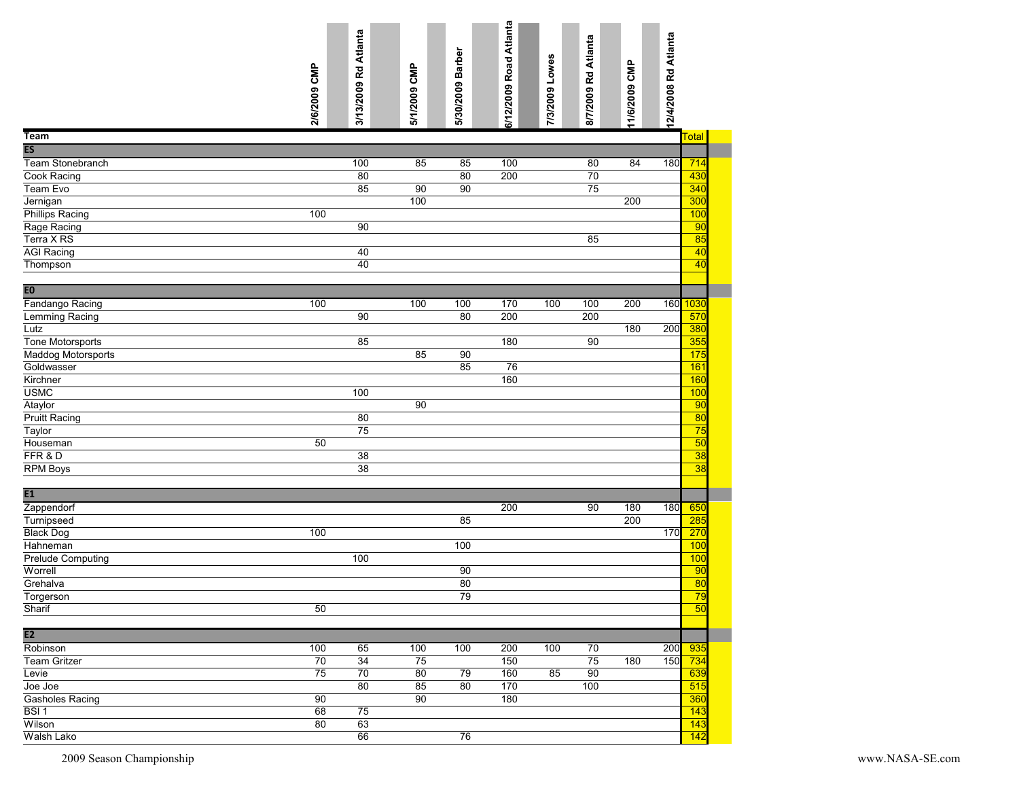|                           |              | 3/13/2009 Rd Atlanta |              |                  | 6/12/2009 Road Atlanta |                | 8/7/2009 Rd Atlanta |               |                         |                       |
|---------------------------|--------------|----------------------|--------------|------------------|------------------------|----------------|---------------------|---------------|-------------------------|-----------------------|
|                           | 2/6/2009 CMP |                      | 5/1/2009 CMP | 5/30/2009 Barber |                        | 7/3/2009 Lowes |                     | 11/6/2009 CMP | 12/4/2008 Rd Atlanta    |                       |
| Team                      |              |                      |              |                  |                        |                |                     |               | Total                   |                       |
| $\overline{\mathsf{ES}}$  |              |                      |              |                  |                        |                |                     |               |                         |                       |
| Team Stonebranch          |              | 100                  | 85           | 85               | 100                    |                | 80                  | 84            | 180                     | 714                   |
| Cook Racing               |              | 80                   |              | 80               | 200                    |                | 70                  |               |                         | 430                   |
| Team Evo                  |              | 85                   | 90           | 90               |                        |                | 75                  |               |                         | 340                   |
| Jernigan                  |              |                      | 100          |                  |                        |                |                     | 200           |                         | 300                   |
| <b>Phillips Racing</b>    | 100          |                      |              |                  |                        |                |                     |               |                         | 100                   |
| Rage Racing               |              | 90                   |              |                  |                        |                |                     |               |                         | 90                    |
| Terra X RS                |              |                      |              |                  |                        |                | 85                  |               |                         | 85                    |
| <b>AGI Racing</b>         |              | 40                   |              |                  |                        |                |                     |               |                         | 40                    |
| Thompson                  |              | 40                   |              |                  |                        |                |                     |               |                         | 40                    |
| EO                        |              |                      |              |                  |                        |                |                     |               |                         |                       |
| Fandango Racing           | 100          |                      | 100          | 100              | 170                    | 100            | 100                 | 200           | 160 <mark>  1030</mark> |                       |
| Lemming Racing            |              | 90                   |              | 80               | 200                    |                | 200                 |               |                         | 570                   |
| Lutz                      |              |                      |              |                  |                        |                |                     | 180           | 200                     | 380                   |
| Tone Motorsports          |              | 85                   |              |                  | 180                    |                | 90                  |               |                         | 355                   |
| <b>Maddog Motorsports</b> |              |                      | 85           | 90               |                        |                |                     |               |                         | 175                   |
| Goldwasser                |              |                      |              | 85               | 76                     |                |                     |               |                         | 161                   |
| Kirchner                  |              |                      |              |                  | 160                    |                |                     |               |                         | 160                   |
| <b>USMC</b>               |              | 100                  |              |                  |                        |                |                     |               |                         | 100                   |
| Ataylor                   |              |                      | 90           |                  |                        |                |                     |               |                         | $\overline{90}$       |
| <b>Pruitt Racing</b>      |              | 80                   |              |                  |                        |                |                     |               |                         | 80                    |
| Taylor                    |              | 75                   |              |                  |                        |                |                     |               |                         | 75                    |
| Houseman                  | 50           |                      |              |                  |                        |                |                     |               |                         | $\overline{50}$       |
| FFR & D                   |              | $\overline{38}$      |              |                  |                        |                |                     |               |                         | $\overline{38}$       |
| RPM Boys                  |              | 38                   |              |                  |                        |                |                     |               |                         | 38                    |
|                           |              |                      |              |                  |                        |                |                     |               |                         |                       |
| E1                        |              |                      |              |                  |                        |                |                     |               |                         |                       |
| Zappendorf                |              |                      |              |                  | 200                    |                | 90                  | 180           | 180                     | 650                   |
| Turnipseed                |              |                      |              | 85               |                        |                |                     | 200           |                         | 285                   |
| <b>Black Dog</b>          | 100          |                      |              |                  |                        |                |                     |               | 170                     | 270                   |
| Hahneman                  |              |                      |              | 100              |                        |                |                     |               |                         | 100                   |
| <b>Prelude Computing</b>  |              | 100                  |              |                  |                        |                |                     |               |                         | 100                   |
| Worrell                   |              |                      |              | 90               |                        |                |                     |               |                         | 90                    |
| Grehalva                  |              |                      |              | 80               |                        |                |                     |               |                         | $\overline{80}$       |
| Torgerson                 |              |                      |              | 79               |                        |                |                     |               |                         | 79<br>$\overline{50}$ |
| Sharif                    | 50           |                      |              |                  |                        |                |                     |               |                         |                       |
| $\overline{E2}$           |              |                      |              |                  |                        |                |                     |               |                         |                       |
| Robinson                  | 100          | 65                   | 100          | 100              | 200                    | 100            | 70                  |               | 200                     | 935                   |
| Team Gritzer              | 70           | $\overline{34}$      | 75           |                  | 150                    |                | 75                  | 180           | 150 734                 |                       |
| Levie                     | 75           | 70                   | 80           | 79               | 160                    | 85             | 90                  |               |                         | 639                   |
| Joe Joe                   |              | 80                   | 85           | 80               | 170                    |                | 100                 |               |                         | 515                   |
| Gasholes Racing           | 90           |                      | 90           |                  | 180                    |                |                     |               |                         | 360                   |
| BSI 1                     | 68           | 75                   |              |                  |                        |                |                     |               |                         | 143                   |
| Wilson                    | 80           | 63                   |              |                  |                        |                |                     |               |                         | 143                   |
| Walsh Lako                |              | 66                   |              | 76               |                        |                |                     |               |                         | $\overline{142}$      |
| 2009 Season Championship  |              |                      |              |                  |                        |                |                     |               |                         |                       |